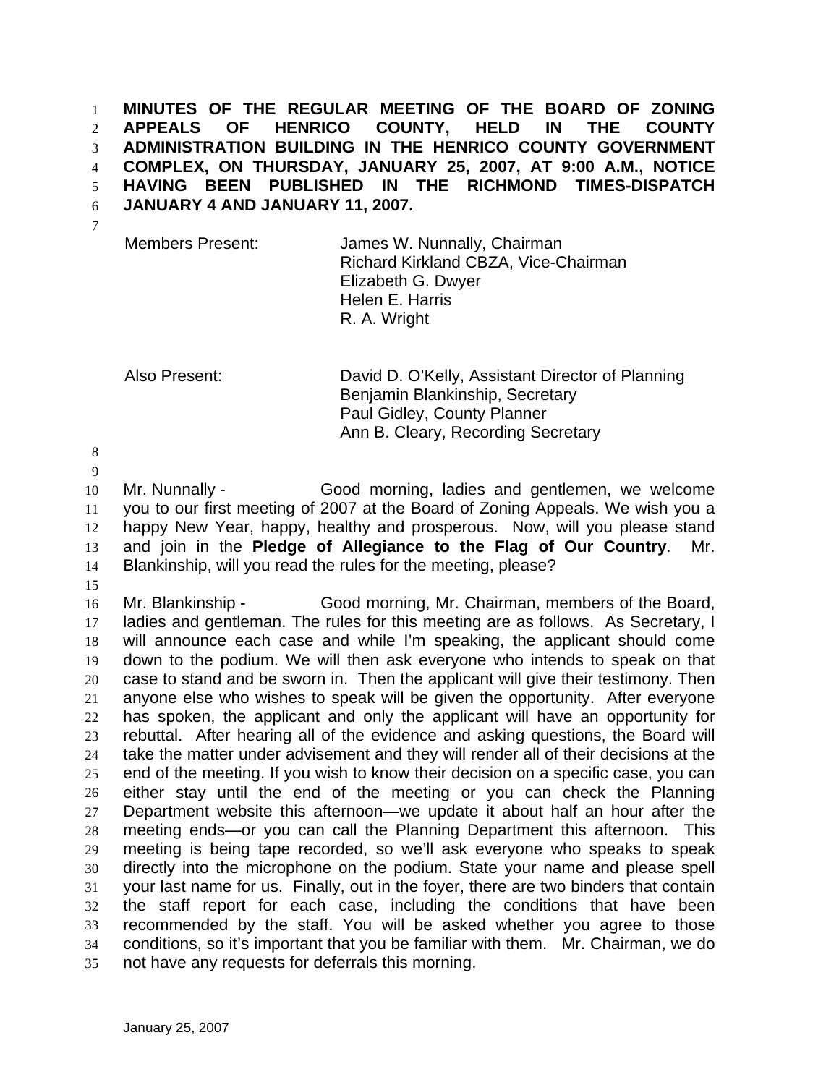**MINUTES OF THE REGULAR MEETING OF THE BOARD OF ZONING APPEALS OF HENRICO COUNTY, HELD IN THE COUNTY ADMINISTRATION BUILDING IN THE HENRICO COUNTY GOVERNMENT COMPLEX, ON THURSDAY, JANUARY 25, 2007, AT 9:00 A.M., NOTICE HAVING BEEN PUBLISHED IN THE RICHMOND TIMES-DISPATCH JANUARY 4 AND JANUARY 11, 2007.**  1 2 3 4 5 6

7

Members Present: James W. Nunnally, Chairman Richard Kirkland CBZA, Vice-Chairman Elizabeth G. Dwyer Helen E. Harris R. A. Wright

Also Present: David D. O'Kelly, Assistant Director of Planning Benjamin Blankinship, Secretary Paul Gidley, County Planner Ann B. Cleary, Recording Secretary

8

9

10 11 12 13 14 Mr. Nunnally - Good morning, ladies and gentlemen, we welcome you to our first meeting of 2007 at the Board of Zoning Appeals. We wish you a happy New Year, happy, healthy and prosperous. Now, will you please stand and join in the **Pledge of Allegiance to the Flag of Our Country**. Mr. Blankinship, will you read the rules for the meeting, please?

15

16 17 18 19 20 21 22 23 24 25 26 27 28 29 30 31 32 33 34 35 Mr. Blankinship - Good morning, Mr. Chairman, members of the Board, ladies and gentleman. The rules for this meeting are as follows. As Secretary, I will announce each case and while I'm speaking, the applicant should come down to the podium. We will then ask everyone who intends to speak on that case to stand and be sworn in. Then the applicant will give their testimony. Then anyone else who wishes to speak will be given the opportunity. After everyone has spoken, the applicant and only the applicant will have an opportunity for rebuttal. After hearing all of the evidence and asking questions, the Board will take the matter under advisement and they will render all of their decisions at the end of the meeting. If you wish to know their decision on a specific case, you can either stay until the end of the meeting or you can check the Planning Department website this afternoon—we update it about half an hour after the meeting ends—or you can call the Planning Department this afternoon. This meeting is being tape recorded, so we'll ask everyone who speaks to speak directly into the microphone on the podium. State your name and please spell your last name for us. Finally, out in the foyer, there are two binders that contain the staff report for each case, including the conditions that have been recommended by the staff. You will be asked whether you agree to those conditions, so it's important that you be familiar with them. Mr. Chairman, we do not have any requests for deferrals this morning.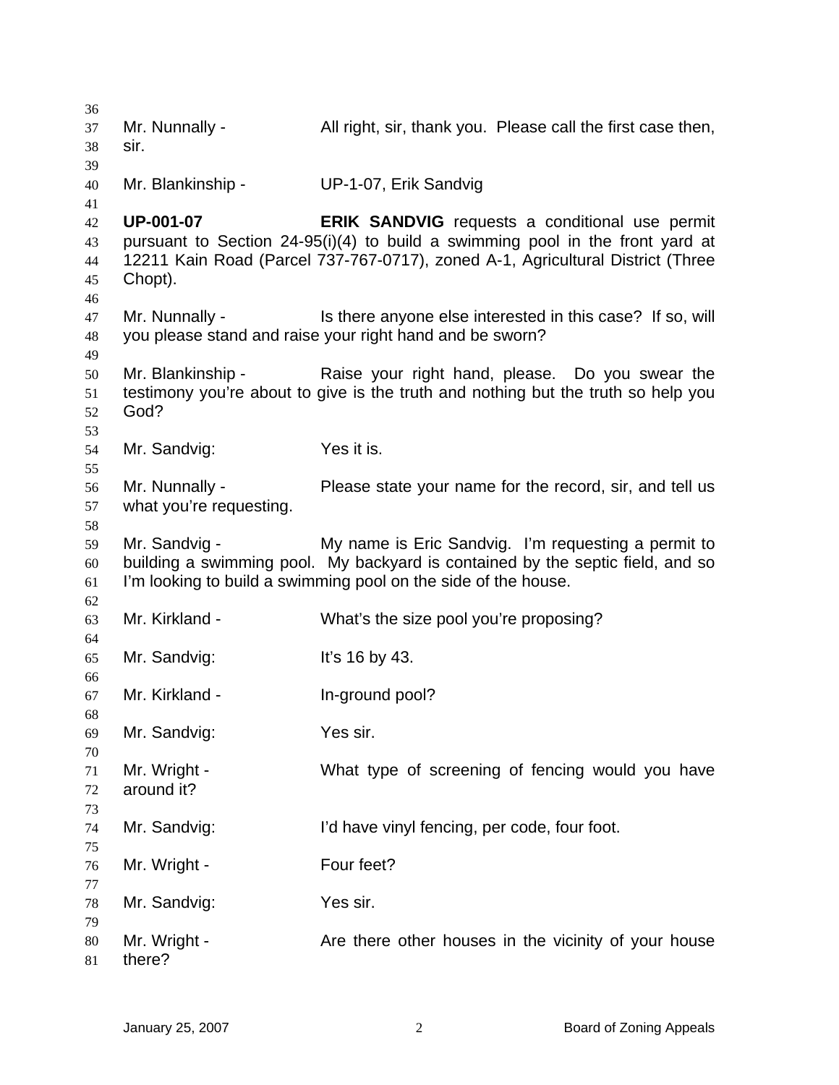| 36<br>37<br>38             | Mr. Nunnally -<br>sir.                    | All right, sir, thank you. Please call the first case then,                                                                                                                                                              |
|----------------------------|-------------------------------------------|--------------------------------------------------------------------------------------------------------------------------------------------------------------------------------------------------------------------------|
| 39<br>40<br>41             | Mr. Blankinship -                         | UP-1-07, Erik Sandvig                                                                                                                                                                                                    |
| 42<br>43<br>44<br>45<br>46 | <b>UP-001-07</b><br>Chopt).               | <b>ERIK SANDVIG</b> requests a conditional use permit<br>pursuant to Section 24-95(i)(4) to build a swimming pool in the front yard at<br>12211 Kain Road (Parcel 737-767-0717), zoned A-1, Agricultural District (Three |
| 47<br>48<br>49             | Mr. Nunnally -                            | Is there anyone else interested in this case? If so, will<br>you please stand and raise your right hand and be sworn?                                                                                                    |
| 50<br>51<br>52<br>53       | God?                                      | Mr. Blankinship - Raise your right hand, please. Do you swear the<br>testimony you're about to give is the truth and nothing but the truth so help you                                                                   |
| 54<br>55                   | Mr. Sandvig:                              | Yes it is.                                                                                                                                                                                                               |
| 56<br>57<br>58             | Mr. Nunnally -<br>what you're requesting. | Please state your name for the record, sir, and tell us                                                                                                                                                                  |
| 59<br>60<br>61             | Mr. Sandvig -                             | My name is Eric Sandvig. I'm requesting a permit to<br>building a swimming pool. My backyard is contained by the septic field, and so<br>I'm looking to build a swimming pool on the side of the house.                  |
| 62<br>63<br>64             | Mr. Kirkland -                            | What's the size pool you're proposing?                                                                                                                                                                                   |
| 65                         | Mr. Sandvig:                              | It's 16 by 43.                                                                                                                                                                                                           |
| 66<br>67                   | Mr. Kirkland -                            | In-ground pool?                                                                                                                                                                                                          |
| 68<br>69                   | Mr. Sandvig:                              | Yes sir.                                                                                                                                                                                                                 |
| 70<br>71<br>72<br>73       | Mr. Wright -<br>around it?                | What type of screening of fencing would you have                                                                                                                                                                         |
| 74<br>75                   | Mr. Sandvig:                              | I'd have vinyl fencing, per code, four foot.                                                                                                                                                                             |
| 76<br>77                   | Mr. Wright -                              | Four feet?                                                                                                                                                                                                               |
| 78<br>79                   | Mr. Sandvig:                              | Yes sir.                                                                                                                                                                                                                 |
| 80<br>81                   | Mr. Wright -<br>there?                    | Are there other houses in the vicinity of your house                                                                                                                                                                     |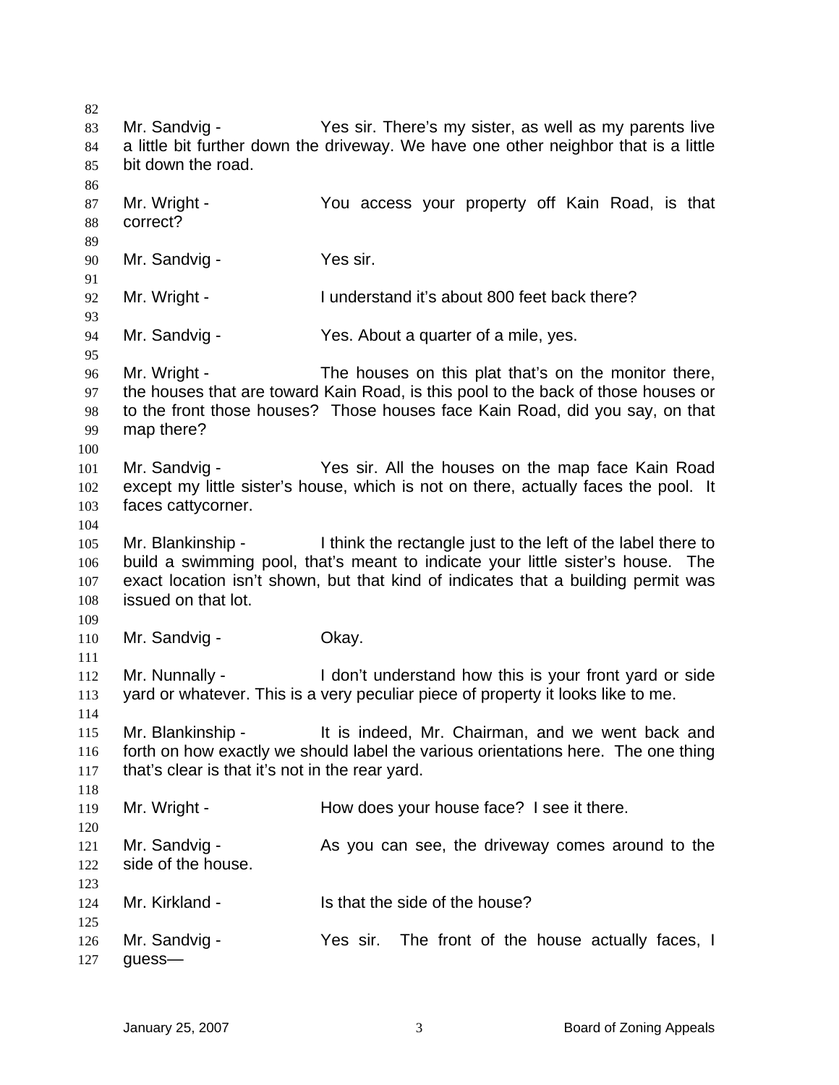82 83 84 85 86 87 88 89 90 91 92 93 94 95 96 97 98 99 100 101 102 103 104 105 106 107 108 109 110 111 112 113 114 115 116 117 118 119 120 121 122 123 124 125 126 127 Mr. Sandvig - Yes sir. There's my sister, as well as my parents live a little bit further down the driveway. We have one other neighbor that is a little bit down the road. Mr. Wright - The You access your property off Kain Road, is that correct? Mr. Sandvig - Yes sir. Mr. Wright - The I understand it's about 800 feet back there? Mr. Sandvig - The Yes. About a quarter of a mile, yes. Mr. Wright - The houses on this plat that's on the monitor there, the houses that are toward Kain Road, is this pool to the back of those houses or to the front those houses? Those houses face Kain Road, did you say, on that map there? Mr. Sandvig - The Yes sir. All the houses on the map face Kain Road except my little sister's house, which is not on there, actually faces the pool. It faces cattycorner. Mr. Blankinship - I think the rectangle just to the left of the label there to build a swimming pool, that's meant to indicate your little sister's house. The exact location isn't shown, but that kind of indicates that a building permit was issued on that lot. Mr. Sandvig - Chay. Mr. Nunnally - I don't understand how this is your front yard or side yard or whatever. This is a very peculiar piece of property it looks like to me. Mr. Blankinship - The is indeed. Mr. Chairman, and we went back and forth on how exactly we should label the various orientations here. The one thing that's clear is that it's not in the rear yard. Mr. Wright - The How does your house face? I see it there. Mr. Sandvig - As you can see, the driveway comes around to the side of the house. Mr. Kirkland - Is that the side of the house? Mr. Sandvig - The sir. The front of the house actually faces, I guess—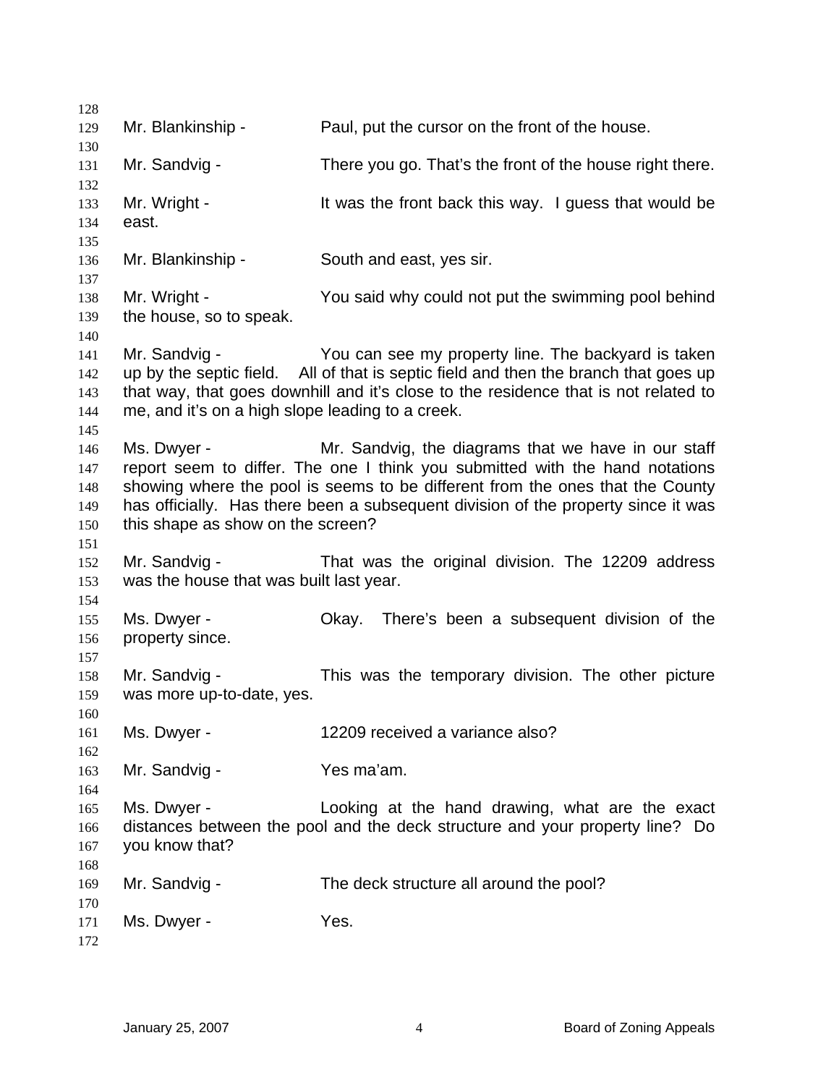| 128                             |                                                                   |                                                                                                                                                                                                                                                                                                           |
|---------------------------------|-------------------------------------------------------------------|-----------------------------------------------------------------------------------------------------------------------------------------------------------------------------------------------------------------------------------------------------------------------------------------------------------|
| 129<br>130                      | Mr. Blankinship -                                                 | Paul, put the cursor on the front of the house.                                                                                                                                                                                                                                                           |
| 131<br>132                      | Mr. Sandvig -                                                     | There you go. That's the front of the house right there.                                                                                                                                                                                                                                                  |
| 133<br>134<br>135               | Mr. Wright -<br>east.                                             | It was the front back this way. I guess that would be                                                                                                                                                                                                                                                     |
| 136<br>137                      | Mr. Blankinship -                                                 | South and east, yes sir.                                                                                                                                                                                                                                                                                  |
| 138<br>139<br>140               | Mr. Wright -<br>the house, so to speak.                           | You said why could not put the swimming pool behind                                                                                                                                                                                                                                                       |
| 141<br>142<br>143<br>144<br>145 | Mr. Sandvig -<br>me, and it's on a high slope leading to a creek. | You can see my property line. The backyard is taken<br>up by the septic field. All of that is septic field and then the branch that goes up<br>that way, that goes downhill and it's close to the residence that is not related to                                                                        |
| 146<br>147<br>148<br>149<br>150 | Ms. Dwyer -<br>this shape as show on the screen?                  | Mr. Sandvig, the diagrams that we have in our staff<br>report seem to differ. The one I think you submitted with the hand notations<br>showing where the pool is seems to be different from the ones that the County<br>has officially. Has there been a subsequent division of the property since it was |
| 151<br>152<br>153<br>154        | Mr. Sandvig -<br>was the house that was built last year.          | That was the original division. The 12209 address                                                                                                                                                                                                                                                         |
| 155<br>156                      | Ms. Dwyer -<br>property since.                                    | There's been a subsequent division of the<br>Okay.                                                                                                                                                                                                                                                        |
| 157<br>158<br>159<br>160        | Mr. Sandvig -<br>was more up-to-date, yes.                        | This was the temporary division. The other picture                                                                                                                                                                                                                                                        |
| 161<br>162                      | Ms. Dwyer -                                                       | 12209 received a variance also?                                                                                                                                                                                                                                                                           |
| 163<br>164                      | Mr. Sandvig -                                                     | Yes ma'am.                                                                                                                                                                                                                                                                                                |
| 165<br>166<br>167<br>168        | Ms. Dwyer -<br>you know that?                                     | Looking at the hand drawing, what are the exact<br>distances between the pool and the deck structure and your property line? Do                                                                                                                                                                           |
| 169<br>170                      | Mr. Sandvig -                                                     | The deck structure all around the pool?                                                                                                                                                                                                                                                                   |
| 171<br>172                      | Ms. Dwyer -                                                       | Yes.                                                                                                                                                                                                                                                                                                      |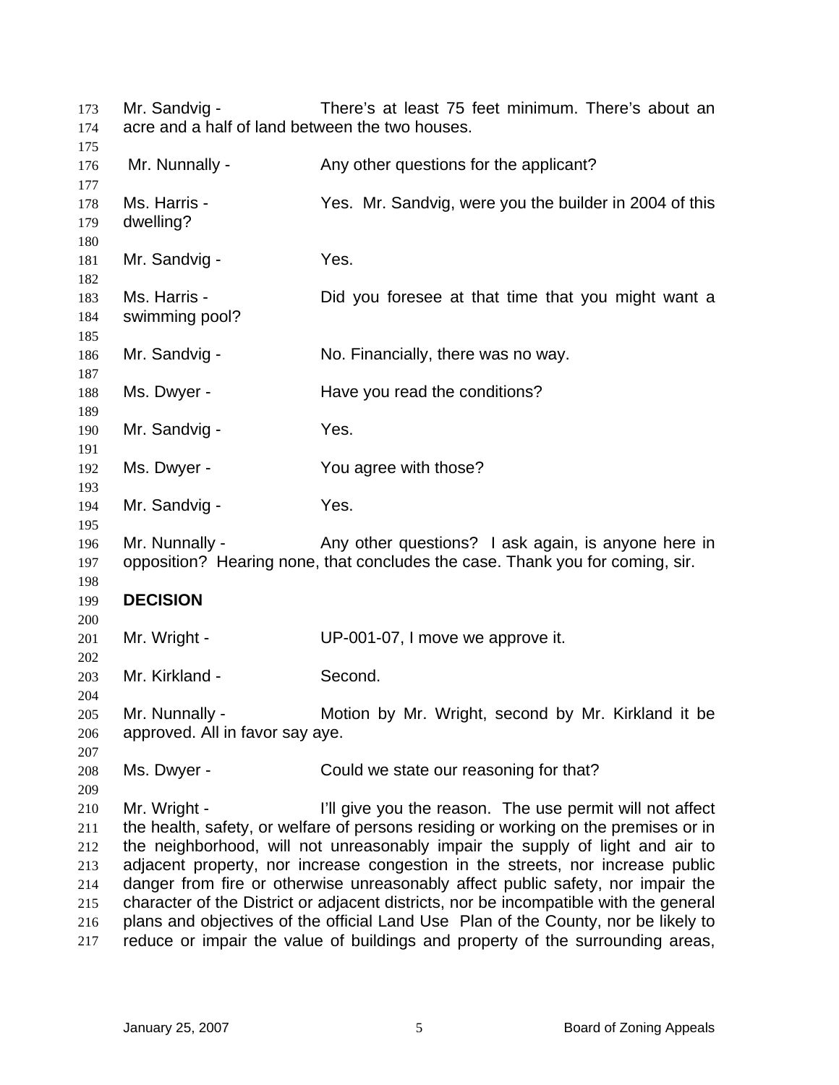Mr. Sandvig - There's at least 75 feet minimum. There's about an acre and a half of land between the two houses. 173 174 175 176 177 178 179 180 181 182 183 184 185 186 187 188 189 190 191 192 193 194 195 196 197 198 199 200 201 202 203 204 205 206 207 208 209 210 211 212 213 214 215 216 217 Mr. Nunnally - Any other questions for the applicant? Ms. Harris - Yes. Mr. Sandvig, were you the builder in 2004 of this dwelling? Mr. Sandvig - Yes. Ms. Harris - The Did you foresee at that time that you might want a swimming pool? Mr. Sandvig - No. Financially, there was no way. Ms. Dwyer - The Have you read the conditions? Mr. Sandvig - Yes. Ms. Dwyer - The You agree with those? Mr. Sandvig - Yes. Mr. Nunnally - Any other questions? I ask again, is anyone here in opposition? Hearing none, that concludes the case. Thank you for coming, sir. **DECISION**  Mr. Wright - UP-001-07, I move we approve it. Mr. Kirkland - Second. Mr. Nunnally - **Motion by Mr. Wright, second by Mr. Kirkland it be** approved. All in favor say aye. Ms. Dwyer - Could we state our reasoning for that? Mr. Wright - The Use you the reason. The use permit will not affect the health, safety, or welfare of persons residing or working on the premises or in the neighborhood, will not unreasonably impair the supply of light and air to adjacent property, nor increase congestion in the streets, nor increase public danger from fire or otherwise unreasonably affect public safety, nor impair the character of the District or adjacent districts, nor be incompatible with the general plans and objectives of the official Land Use Plan of the County, nor be likely to reduce or impair the value of buildings and property of the surrounding areas,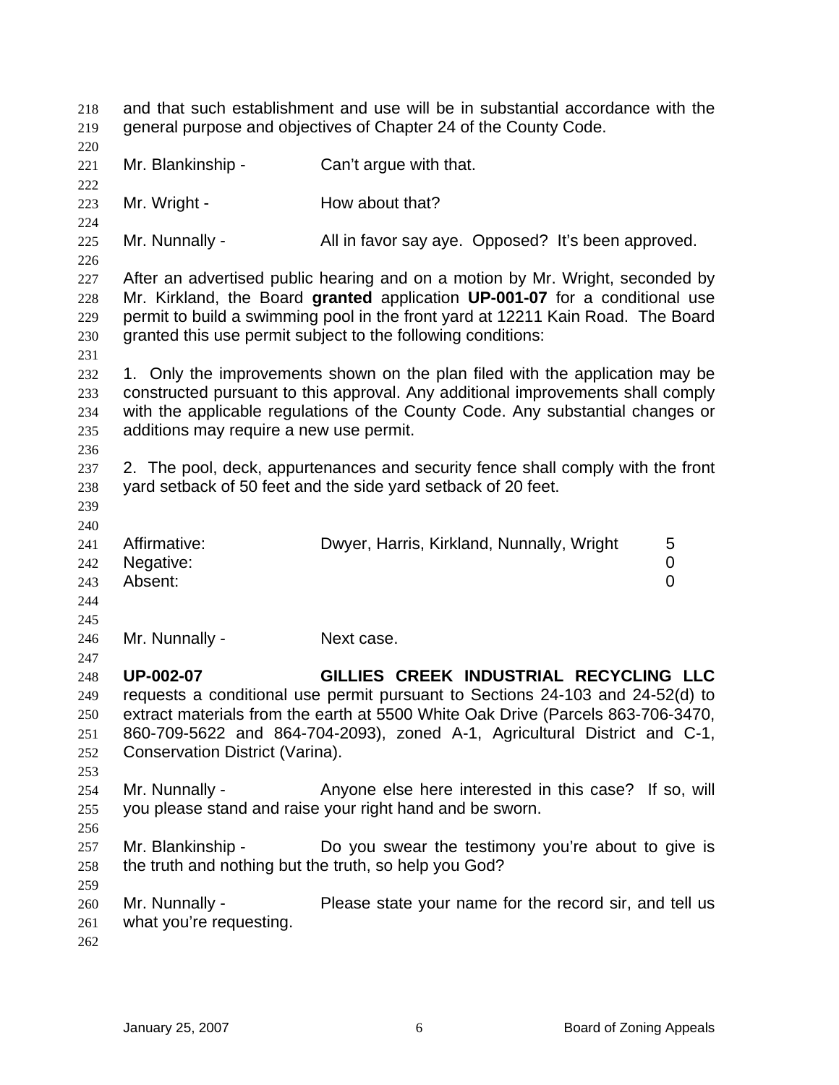| 218<br>219        | and that such establishment and use will be in substantial accordance with the<br>general purpose and objectives of Chapter 24 of the County Code. |                                                                                                                                                                                                                                |  |
|-------------------|----------------------------------------------------------------------------------------------------------------------------------------------------|--------------------------------------------------------------------------------------------------------------------------------------------------------------------------------------------------------------------------------|--|
| 220<br>221        | Mr. Blankinship -                                                                                                                                  | Can't argue with that.                                                                                                                                                                                                         |  |
| 222               |                                                                                                                                                    |                                                                                                                                                                                                                                |  |
| 223               | Mr. Wright -                                                                                                                                       | How about that?                                                                                                                                                                                                                |  |
| 224               |                                                                                                                                                    |                                                                                                                                                                                                                                |  |
| 225<br>226        | Mr. Nunnally -                                                                                                                                     | All in favor say aye. Opposed? It's been approved.                                                                                                                                                                             |  |
| 227               |                                                                                                                                                    | After an advertised public hearing and on a motion by Mr. Wright, seconded by                                                                                                                                                  |  |
| 228<br>229<br>230 |                                                                                                                                                    | Mr. Kirkland, the Board granted application UP-001-07 for a conditional use<br>permit to build a swimming pool in the front yard at 12211 Kain Road. The Board<br>granted this use permit subject to the following conditions: |  |
|                   |                                                                                                                                                    |                                                                                                                                                                                                                                |  |
| 231<br>232        |                                                                                                                                                    | 1. Only the improvements shown on the plan filed with the application may be                                                                                                                                                   |  |
| 233               |                                                                                                                                                    | constructed pursuant to this approval. Any additional improvements shall comply                                                                                                                                                |  |
| 234               |                                                                                                                                                    | with the applicable regulations of the County Code. Any substantial changes or                                                                                                                                                 |  |
| 235               | additions may require a new use permit.                                                                                                            |                                                                                                                                                                                                                                |  |
| 236               |                                                                                                                                                    |                                                                                                                                                                                                                                |  |
| 237               |                                                                                                                                                    | 2. The pool, deck, appurtenances and security fence shall comply with the front                                                                                                                                                |  |
| 238               |                                                                                                                                                    | yard setback of 50 feet and the side yard setback of 20 feet.                                                                                                                                                                  |  |
| 239               |                                                                                                                                                    |                                                                                                                                                                                                                                |  |
| 240               |                                                                                                                                                    |                                                                                                                                                                                                                                |  |
| 241               | Affirmative:                                                                                                                                       | Dwyer, Harris, Kirkland, Nunnally, Wright<br>5                                                                                                                                                                                 |  |
| 242               | Negative:                                                                                                                                          | 0                                                                                                                                                                                                                              |  |
| 243               | Absent:                                                                                                                                            | 0                                                                                                                                                                                                                              |  |
| 244               |                                                                                                                                                    |                                                                                                                                                                                                                                |  |
| 245               |                                                                                                                                                    |                                                                                                                                                                                                                                |  |
| 246               | Mr. Nunnally -                                                                                                                                     | Next case.                                                                                                                                                                                                                     |  |
| 247               |                                                                                                                                                    |                                                                                                                                                                                                                                |  |
| 248               | <b>UP-002-07</b>                                                                                                                                   | GILLIES CREEK INDUSTRIAL RECYCLING LLC                                                                                                                                                                                         |  |
| 249               |                                                                                                                                                    | requests a conditional use permit pursuant to Sections 24-103 and 24-52(d) to                                                                                                                                                  |  |
| 250               |                                                                                                                                                    | extract materials from the earth at 5500 White Oak Drive (Parcels 863-706-3470,                                                                                                                                                |  |
| 251               |                                                                                                                                                    | 860-709-5622 and 864-704-2093), zoned A-1, Agricultural District and C-1,                                                                                                                                                      |  |
| 252               | Conservation District (Varina).                                                                                                                    |                                                                                                                                                                                                                                |  |
| 253               |                                                                                                                                                    |                                                                                                                                                                                                                                |  |
| 254               | Mr. Nunnally -                                                                                                                                     | Anyone else here interested in this case? If so, will                                                                                                                                                                          |  |
| 255               |                                                                                                                                                    | you please stand and raise your right hand and be sworn.                                                                                                                                                                       |  |
| 256               |                                                                                                                                                    |                                                                                                                                                                                                                                |  |
| 257               | Mr. Blankinship -                                                                                                                                  | Do you swear the testimony you're about to give is                                                                                                                                                                             |  |
| 258               | the truth and nothing but the truth, so help you God?                                                                                              |                                                                                                                                                                                                                                |  |
| 259               | Mr. Nunnally -                                                                                                                                     | Please state your name for the record sir, and tell us                                                                                                                                                                         |  |
| 260<br>261        | what you're requesting.                                                                                                                            |                                                                                                                                                                                                                                |  |
| 262               |                                                                                                                                                    |                                                                                                                                                                                                                                |  |
|                   |                                                                                                                                                    |                                                                                                                                                                                                                                |  |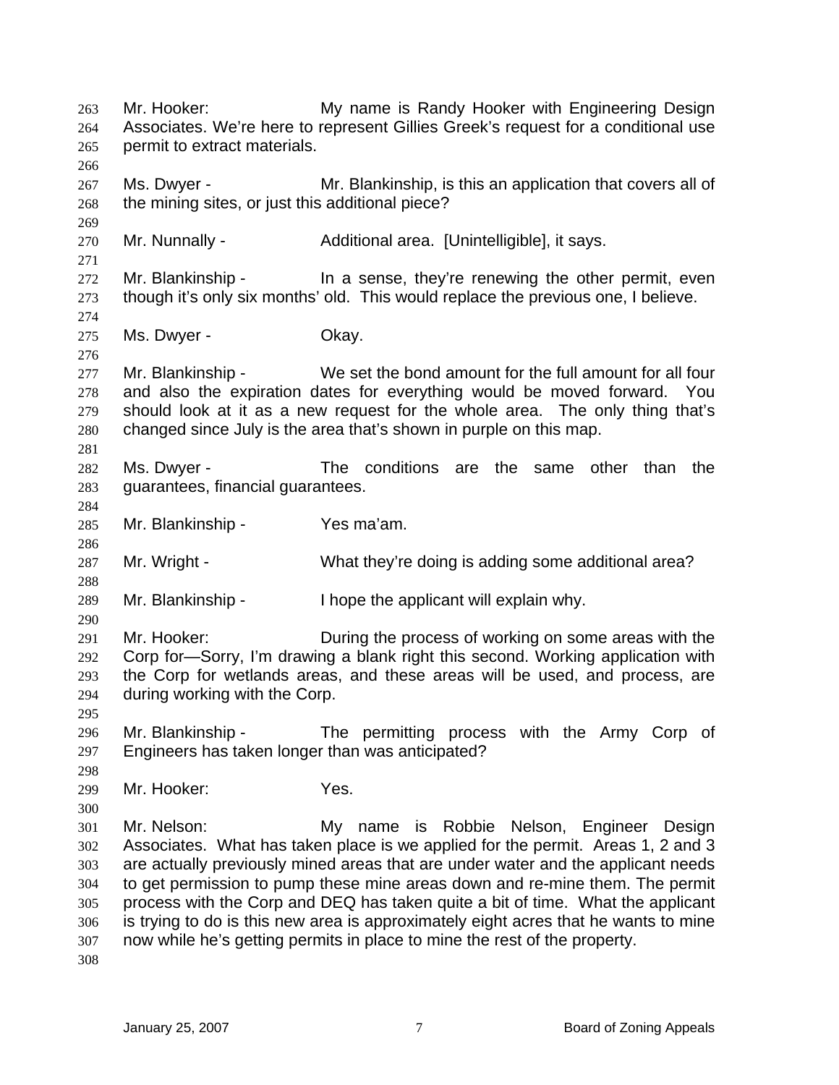Mr. Hooker: My name is Randy Hooker with Engineering Design Associates. We're here to represent Gillies Greek's request for a conditional use permit to extract materials. 263 264 265 266 267 268 269 270 271 272 273 274 275 276 277 278 279 280 281 282 283 284 285 286 287 288 289 290 291 292 293 294 295 296 297 298 299 300 301 302 303 304 305 306 307 308 Ms. Dwyer - Mr. Blankinship, is this an application that covers all of the mining sites, or just this additional piece? Mr. Nunnally - **Additional area.** [Unintelligible], it says. Mr. Blankinship - In a sense, they're renewing the other permit, even though it's only six months' old. This would replace the previous one, I believe. Ms. Dwyer - Chay. Mr. Blankinship - We set the bond amount for the full amount for all four and also the expiration dates for everything would be moved forward. You should look at it as a new request for the whole area. The only thing that's changed since July is the area that's shown in purple on this map. Ms. Dwyer - The conditions are the same other than the guarantees, financial guarantees. Mr. Blankinship - Yes ma'am. Mr. Wright - What they're doing is adding some additional area? Mr. Blankinship - I hope the applicant will explain why. Mr. Hooker: During the process of working on some areas with the Corp for—Sorry, I'm drawing a blank right this second. Working application with the Corp for wetlands areas, and these areas will be used, and process, are during working with the Corp. Mr. Blankinship - The permitting process with the Army Corp of Engineers has taken longer than was anticipated? Mr. Hooker: Yes. Mr. Nelson: My name is Robbie Nelson, Engineer Design Associates. What has taken place is we applied for the permit. Areas 1, 2 and 3 are actually previously mined areas that are under water and the applicant needs to get permission to pump these mine areas down and re-mine them. The permit process with the Corp and DEQ has taken quite a bit of time. What the applicant is trying to do is this new area is approximately eight acres that he wants to mine now while he's getting permits in place to mine the rest of the property.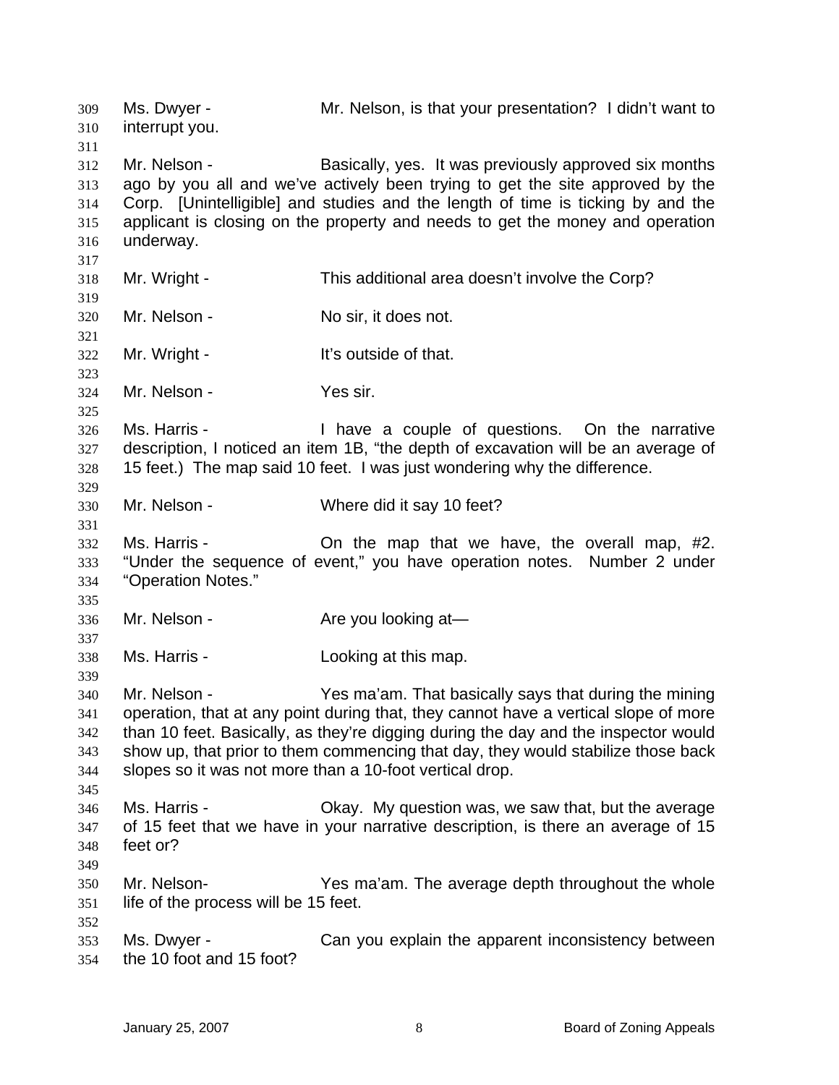Ms. Dwyer - Mr. Nelson, is that your presentation? I didn't want to interrupt you. 309 310 311 312 313 314 315 316 317 318 319 320 321 322 323 324 325 326 327 328 329 330 331 332 333 334 335 336 337 338 339 340 341 342 343 344 345 346 347 348 349 350 351 352 353 354 Mr. Nelson - **Basically, yes.** It was previously approved six months ago by you all and we've actively been trying to get the site approved by the Corp. [Unintelligible] and studies and the length of time is ticking by and the applicant is closing on the property and needs to get the money and operation underway. Mr. Wright - This additional area doesn't involve the Corp? Mr. Nelson - No sir, it does not. Mr. Wright - The Mult's outside of that. Mr. Nelson - Yes sir. Ms. Harris - Thave a couple of questions. On the narrative description, I noticed an item 1B, "the depth of excavation will be an average of 15 feet.) The map said 10 feet. I was just wondering why the difference. Mr. Nelson - Where did it say 10 feet? Ms. Harris - The Map that we have, the overall map, #2. "Under the sequence of event," you have operation notes. Number 2 under "Operation Notes." Mr. Nelson - Are you looking at Ms. Harris - The Looking at this map. Mr. Nelson - Yes ma'am. That basically says that during the mining operation, that at any point during that, they cannot have a vertical slope of more than 10 feet. Basically, as they're digging during the day and the inspector would show up, that prior to them commencing that day, they would stabilize those back slopes so it was not more than a 10-foot vertical drop. Ms. Harris - Chay. My question was, we saw that, but the average of 15 feet that we have in your narrative description, is there an average of 15 feet or? Mr. Nelson- Yes ma'am. The average depth throughout the whole life of the process will be 15 feet. Ms. Dwyer - Can you explain the apparent inconsistency between the 10 foot and 15 foot?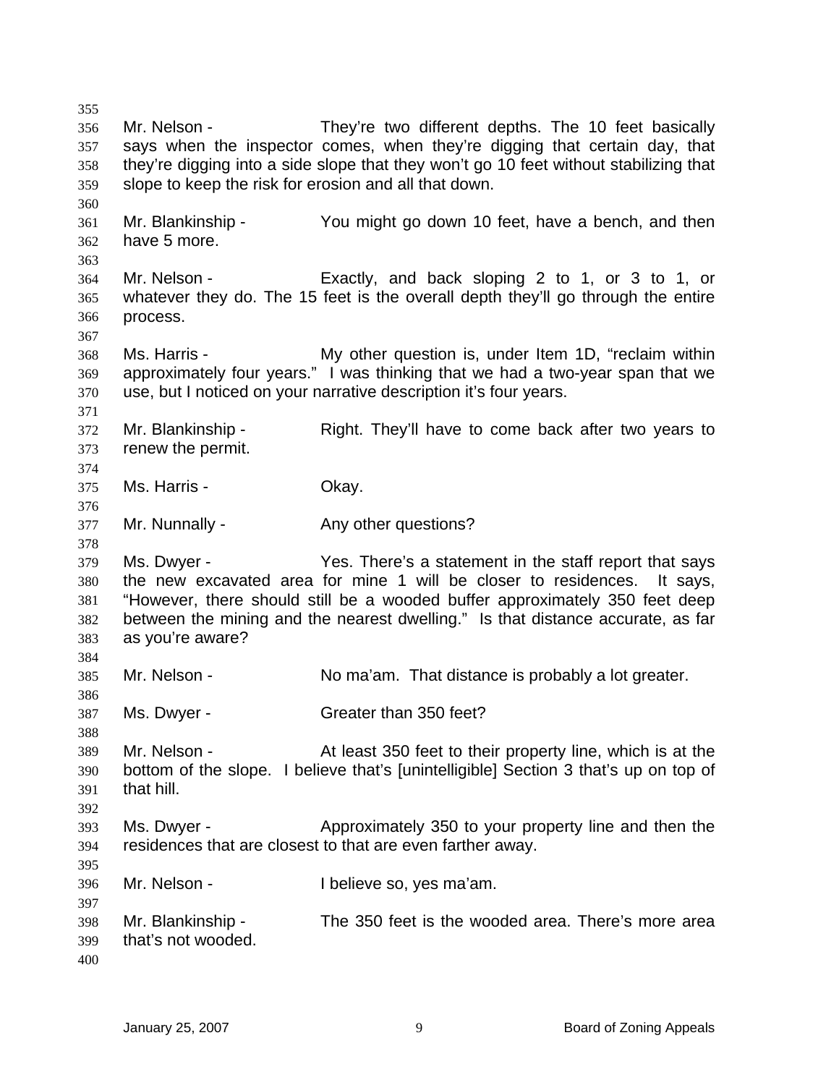356 357 358 359 360 361 362 363 364 365 366 367 368 369 370 371 372 373 374 375 376 377 378 379 380 381 382 383 384 385 386 387 388 389 390 391 392 393 394 395 396 397 398 399 400 Mr. Nelson - They're two different depths. The 10 feet basically says when the inspector comes, when they're digging that certain day, that they're digging into a side slope that they won't go 10 feet without stabilizing that slope to keep the risk for erosion and all that down. Mr. Blankinship - You might go down 10 feet, have a bench, and then have 5 more. Mr. Nelson - Exactly, and back sloping 2 to 1, or 3 to 1, or whatever they do. The 15 feet is the overall depth they'll go through the entire process. Ms. Harris - The My other question is, under Item 1D, "reclaim within approximately four years." I was thinking that we had a two-year span that we use, but I noticed on your narrative description it's four years. Mr. Blankinship - Right. They'll have to come back after two years to renew the permit. Ms. Harris - Chay. Mr. Nunnally - Any other questions? Ms. Dwyer - There's a statement in the staff report that says the new excavated area for mine 1 will be closer to residences. It says, "However, there should still be a wooded buffer approximately 350 feet deep between the mining and the nearest dwelling." Is that distance accurate, as far as you're aware? Mr. Nelson - No ma'am. That distance is probably a lot greater. Ms. Dwyer - Greater than 350 feet? Mr. Nelson - At least 350 feet to their property line, which is at the bottom of the slope. I believe that's [unintelligible] Section 3 that's up on top of that hill. Ms. Dwyer - Approximately 350 to your property line and then the residences that are closest to that are even farther away. Mr. Nelson - Thelieve so, yes ma'am. Mr. Blankinship - The 350 feet is the wooded area. There's more area that's not wooded.

355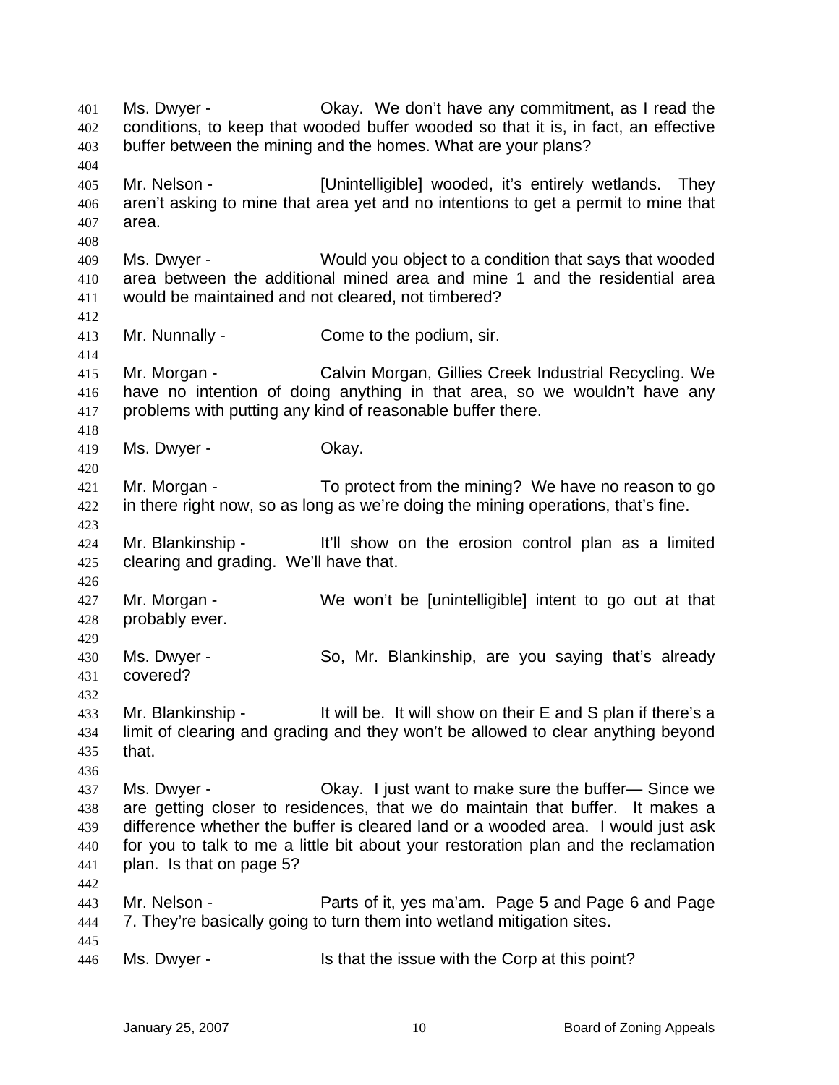Ms. Dwyer - Okay. We don't have any commitment, as I read the conditions, to keep that wooded buffer wooded so that it is, in fact, an effective buffer between the mining and the homes. What are your plans? 401 402 403 404 405 406 407 408 409 410 411 412 413 414 415 416 417 418 419 420 421 422 423 424 425 426 427 428 429 430 431 432 433 434 435 436 437 438 439 440 441 442 443 444 445 446 Mr. Nelson - **Example 1** [Unintelligible] wooded, it's entirely wetlands. They aren't asking to mine that area yet and no intentions to get a permit to mine that area. Ms. Dwyer - Would you object to a condition that says that wooded area between the additional mined area and mine 1 and the residential area would be maintained and not cleared, not timbered? Mr. Nunnally - Come to the podium, sir. Mr. Morgan - Calvin Morgan, Gillies Creek Industrial Recycling. We have no intention of doing anything in that area, so we wouldn't have any problems with putting any kind of reasonable buffer there. Ms. Dwyer - Chay. Mr. Morgan - To protect from the mining? We have no reason to go in there right now, so as long as we're doing the mining operations, that's fine. Mr. Blankinship - It'll show on the erosion control plan as a limited clearing and grading. We'll have that. Mr. Morgan - We won't be [unintelligible] intent to go out at that probably ever. Ms. Dwyer - So, Mr. Blankinship, are you saying that's already covered? Mr. Blankinship - It will be. It will show on their E and S plan if there's a limit of clearing and grading and they won't be allowed to clear anything beyond that. Ms. Dwyer - Chay. I just want to make sure the buffer-Since we are getting closer to residences, that we do maintain that buffer. It makes a difference whether the buffer is cleared land or a wooded area. I would just ask for you to talk to me a little bit about your restoration plan and the reclamation plan. Is that on page 5? Mr. Nelson - Parts of it, yes ma'am. Page 5 and Page 6 and Page 7. They're basically going to turn them into wetland mitigation sites. Ms. Dwyer - Is that the issue with the Corp at this point?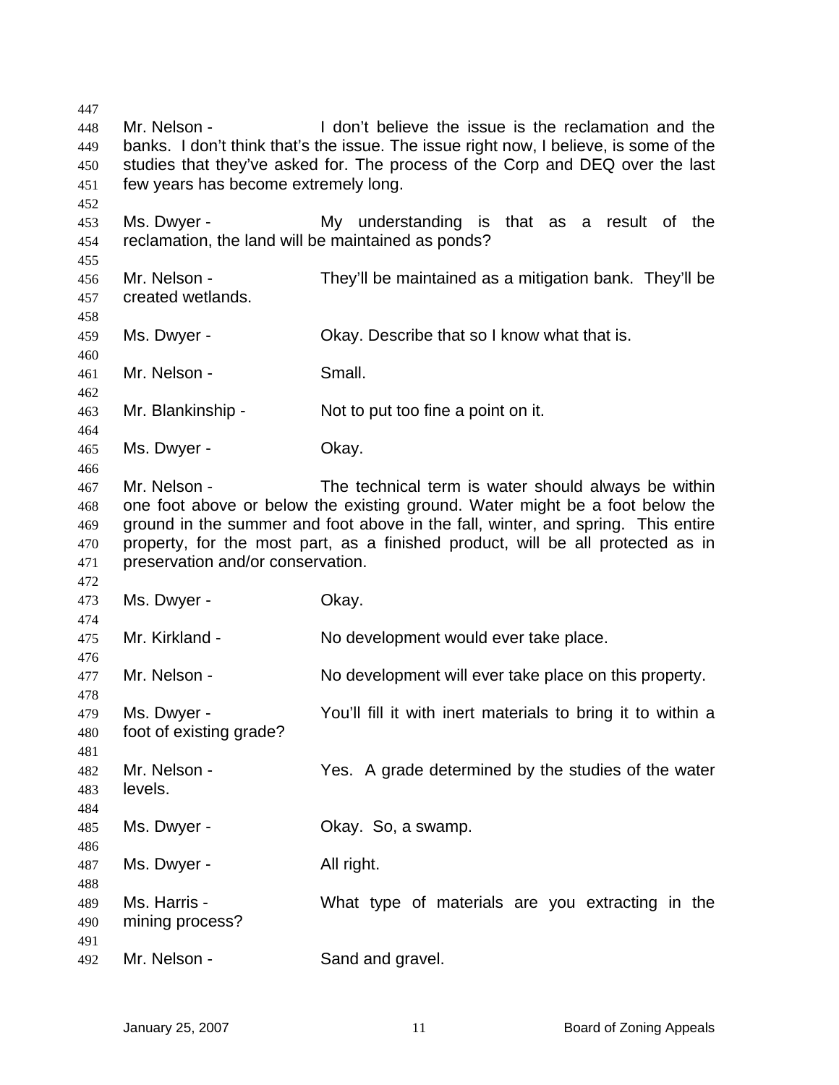Mr. Nelson - I don't believe the issue is the reclamation and the banks. I don't think that's the issue. The issue right now, I believe, is some of the studies that they've asked for. The process of the Corp and DEQ over the last few years has become extremely long. Ms. Dwyer - My understanding is that as a result of the reclamation, the land will be maintained as ponds? Mr. Nelson - They'll be maintained as a mitigation bank. They'll be created wetlands. Ms. Dwyer - Okay. Describe that so I know what that is. Mr. Nelson - Small. Mr. Blankinship - Not to put too fine a point on it. Ms. Dwyer - Chay. Mr. Nelson - The technical term is water should always be within one foot above or below the existing ground. Water might be a foot below the ground in the summer and foot above in the fall, winter, and spring. This entire property, for the most part, as a finished product, will be all protected as in preservation and/or conservation. Ms. Dwyer - Chay. Mr. Kirkland - No development would ever take place. Mr. Nelson - No development will ever take place on this property. Ms. Dwyer - You'll fill it with inert materials to bring it to within a foot of existing grade? Mr. Nelson - Yes. A grade determined by the studies of the water levels. Ms. Dwyer - Chay. So, a swamp. Ms. Dwyer - All right. Ms. Harris - What type of materials are you extracting in the mining process? Mr. Nelson - Sand and gravel.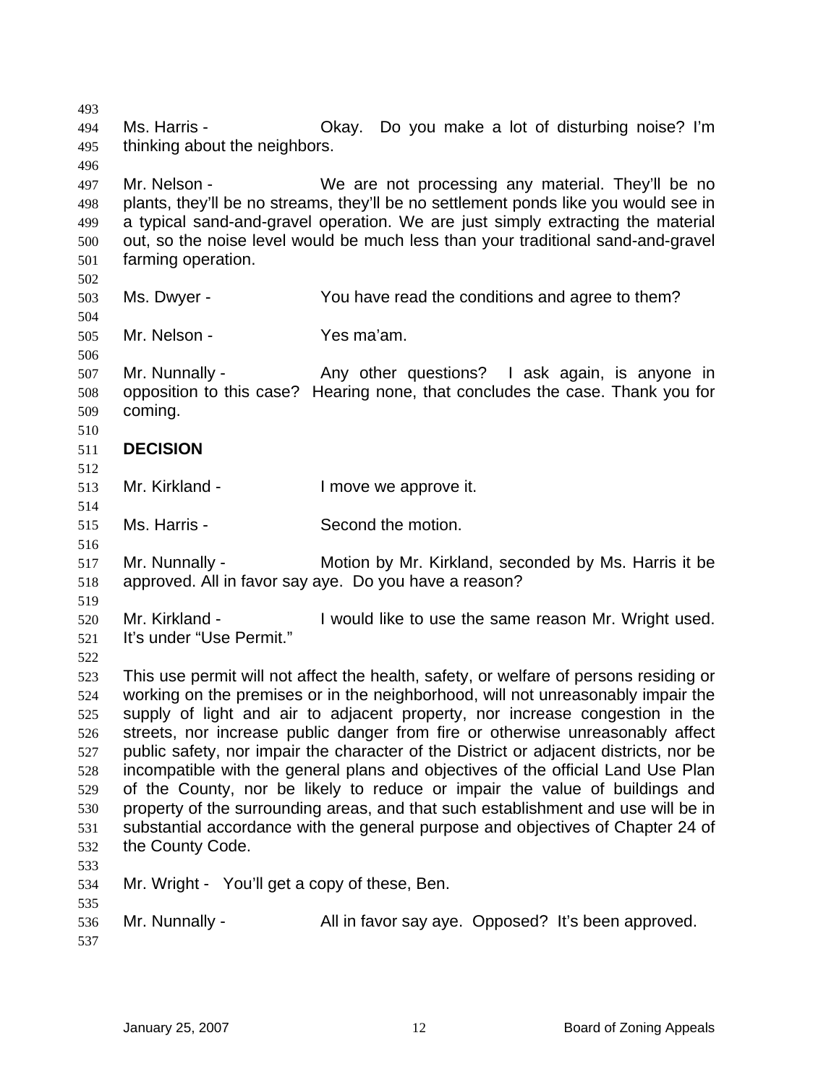493 494 495 496 497 498 499 500 501 502 503 504 505 506 507 508 509 510 511 512 513 514 515 516 517 518 519 520 521 522 523 524 525 526 527 528 529 530 531 532 533 534 535 536 537 Ms. Harris - Ckay. Do you make a lot of disturbing noise? I'm thinking about the neighbors. Mr. Nelson - We are not processing any material. They'll be no plants, they'll be no streams, they'll be no settlement ponds like you would see in a typical sand-and-gravel operation. We are just simply extracting the material out, so the noise level would be much less than your traditional sand-and-gravel farming operation. Ms. Dwyer - You have read the conditions and agree to them? Mr. Nelson - Yes ma'am. Mr. Nunnally - Any other questions? I ask again, is anyone in opposition to this case? Hearing none, that concludes the case. Thank you for coming. **DECISION**  Mr. Kirkland - The Real Muslim I move we approve it. Ms. Harris - Second the motion. Mr. Nunnally - Motion by Mr. Kirkland, seconded by Ms. Harris it be approved. All in favor say aye. Do you have a reason? Mr. Kirkland - The Sould like to use the same reason Mr. Wright used. It's under "Use Permit." This use permit will not affect the health, safety, or welfare of persons residing or working on the premises or in the neighborhood, will not unreasonably impair the supply of light and air to adjacent property, nor increase congestion in the streets, nor increase public danger from fire or otherwise unreasonably affect public safety, nor impair the character of the District or adjacent districts, nor be incompatible with the general plans and objectives of the official Land Use Plan of the County, nor be likely to reduce or impair the value of buildings and property of the surrounding areas, and that such establishment and use will be in substantial accordance with the general purpose and objectives of Chapter 24 of the County Code. Mr. Wright - You'll get a copy of these, Ben. Mr. Nunnally - All in favor say aye. Opposed? It's been approved.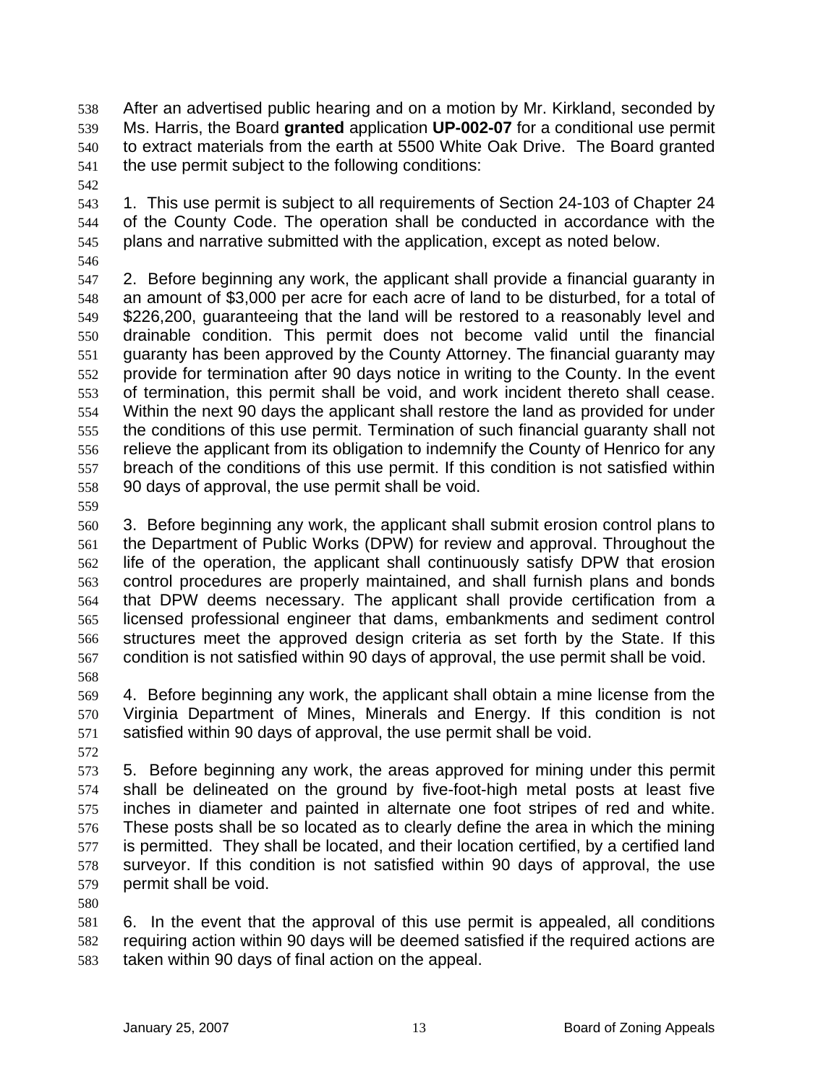After an advertised public hearing and on a motion by Mr. Kirkland, seconded by Ms. Harris, the Board **granted** application **UP-002-07** for a conditional use permit to extract materials from the earth at 5500 White Oak Drive. The Board granted the use permit subject to the following conditions: 538 539 540 541

542

543 544 545 1. This use permit is subject to all requirements of Section 24-103 of Chapter 24 of the County Code. The operation shall be conducted in accordance with the plans and narrative submitted with the application, except as noted below.

546

547 548 549 550 551 552 553 554 555 556 557 558 2. Before beginning any work, the applicant shall provide a financial guaranty in an amount of \$3,000 per acre for each acre of land to be disturbed, for a total of \$226,200, guaranteeing that the land will be restored to a reasonably level and drainable condition. This permit does not become valid until the financial guaranty has been approved by the County Attorney. The financial guaranty may provide for termination after 90 days notice in writing to the County. In the event of termination, this permit shall be void, and work incident thereto shall cease. Within the next 90 days the applicant shall restore the land as provided for under the conditions of this use permit. Termination of such financial guaranty shall not relieve the applicant from its obligation to indemnify the County of Henrico for any breach of the conditions of this use permit. If this condition is not satisfied within 90 days of approval, the use permit shall be void.

559

560 561 562 563 564 565 566 567 3. Before beginning any work, the applicant shall submit erosion control plans to the Department of Public Works (DPW) for review and approval. Throughout the life of the operation, the applicant shall continuously satisfy DPW that erosion control procedures are properly maintained, and shall furnish plans and bonds that DPW deems necessary. The applicant shall provide certification from a licensed professional engineer that dams, embankments and sediment control structures meet the approved design criteria as set forth by the State. If this condition is not satisfied within 90 days of approval, the use permit shall be void.

568

569 570 571 4. Before beginning any work, the applicant shall obtain a mine license from the Virginia Department of Mines, Minerals and Energy. If this condition is not satisfied within 90 days of approval, the use permit shall be void.

572

573 574 575 576 577 578 579 5. Before beginning any work, the areas approved for mining under this permit shall be delineated on the ground by five-foot-high metal posts at least five inches in diameter and painted in alternate one foot stripes of red and white. These posts shall be so located as to clearly define the area in which the mining is permitted. They shall be located, and their location certified, by a certified land surveyor. If this condition is not satisfied within 90 days of approval, the use permit shall be void.

580

581 582 583 6. In the event that the approval of this use permit is appealed, all conditions requiring action within 90 days will be deemed satisfied if the required actions are taken within 90 days of final action on the appeal.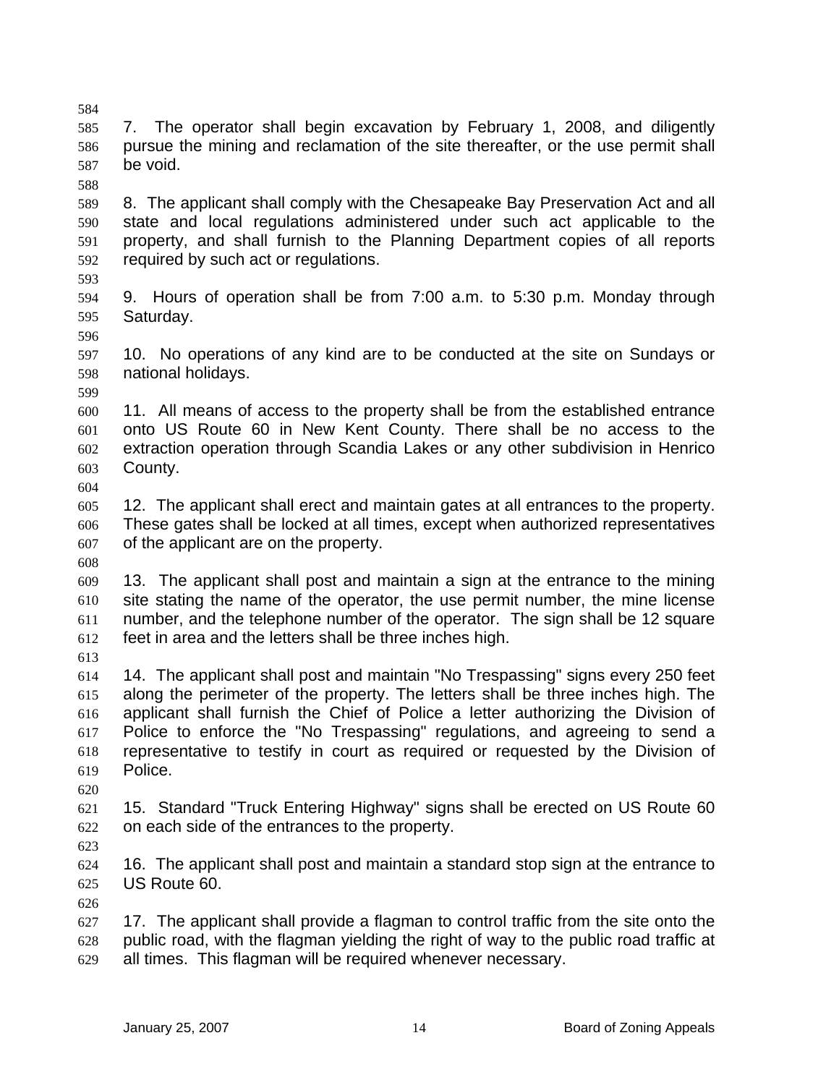588 589 590 591 592 593 594 595 596 597 598 599 600 601 602 603 604 605 606 607 608 609 610 611 612 613 614 615 616 617 618 619 620 621 622 623 624 625 626 627 628 629 8. The applicant shall comply with the Chesapeake Bay Preservation Act and all state and local regulations administered under such act applicable to the property, and shall furnish to the Planning Department copies of all reports required by such act or regulations. 9. Hours of operation shall be from 7:00 a.m. to 5:30 p.m. Monday through Saturday. 10. No operations of any kind are to be conducted at the site on Sundays or national holidays. 11. All means of access to the property shall be from the established entrance onto US Route 60 in New Kent County. There shall be no access to the extraction operation through Scandia Lakes or any other subdivision in Henrico County. 12. The applicant shall erect and maintain gates at all entrances to the property. These gates shall be locked at all times, except when authorized representatives of the applicant are on the property. 13. The applicant shall post and maintain a sign at the entrance to the mining site stating the name of the operator, the use permit number, the mine license number, and the telephone number of the operator. The sign shall be 12 square feet in area and the letters shall be three inches high. 14. The applicant shall post and maintain "No Trespassing" signs every 250 feet along the perimeter of the property. The letters shall be three inches high. The applicant shall furnish the Chief of Police a letter authorizing the Division of Police to enforce the "No Trespassing" regulations, and agreeing to send a representative to testify in court as required or requested by the Division of Police. 15. Standard "Truck Entering Highway" signs shall be erected on US Route 60 on each side of the entrances to the property. 16. The applicant shall post and maintain a standard stop sign at the entrance to US Route 60. 17. The applicant shall provide a flagman to control traffic from the site onto the public road, with the flagman yielding the right of way to the public road traffic at all times. This flagman will be required whenever necessary.

7. The operator shall begin excavation by February 1, 2008, and diligently pursue the mining and reclamation of the site thereafter, or the use permit shall

be void.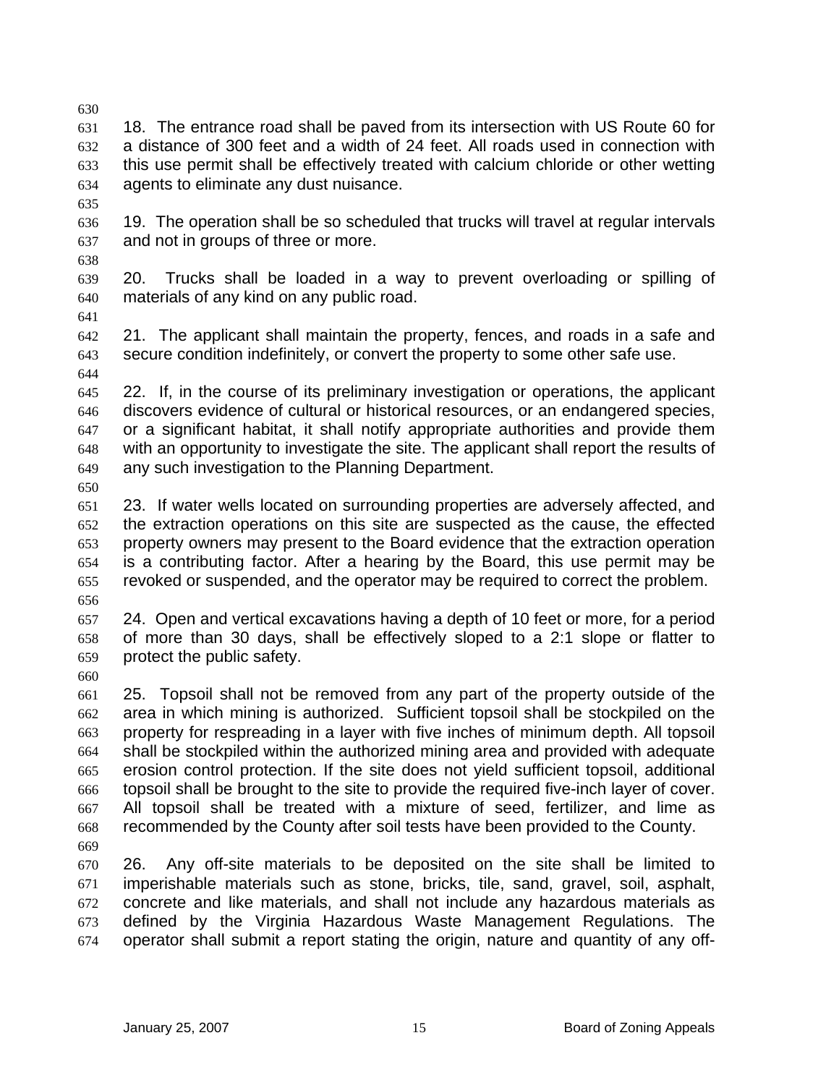630

631 632 633 634 18. The entrance road shall be paved from its intersection with US Route 60 for a distance of 300 feet and a width of 24 feet. All roads used in connection with this use permit shall be effectively treated with calcium chloride or other wetting agents to eliminate any dust nuisance.

635

636 637 19. The operation shall be so scheduled that trucks will travel at regular intervals and not in groups of three or more.

638

639 640 20. Trucks shall be loaded in a way to prevent overloading or spilling of materials of any kind on any public road.

641

642 643 644 21. The applicant shall maintain the property, fences, and roads in a safe and secure condition indefinitely, or convert the property to some other safe use.

645 646 647 648 649 22. If, in the course of its preliminary investigation or operations, the applicant discovers evidence of cultural or historical resources, or an endangered species, or a significant habitat, it shall notify appropriate authorities and provide them with an opportunity to investigate the site. The applicant shall report the results of any such investigation to the Planning Department.

650

651 652 653 654 655 656 23. If water wells located on surrounding properties are adversely affected, and the extraction operations on this site are suspected as the cause, the effected property owners may present to the Board evidence that the extraction operation is a contributing factor. After a hearing by the Board, this use permit may be revoked or suspended, and the operator may be required to correct the problem.

657 658 659 24. Open and vertical excavations having a depth of 10 feet or more, for a period of more than 30 days, shall be effectively sloped to a 2:1 slope or flatter to protect the public safety.

660

661 662 663 664 665 666 667 668 25. Topsoil shall not be removed from any part of the property outside of the area in which mining is authorized. Sufficient topsoil shall be stockpiled on the property for respreading in a layer with five inches of minimum depth. All topsoil shall be stockpiled within the authorized mining area and provided with adequate erosion control protection. If the site does not yield sufficient topsoil, additional topsoil shall be brought to the site to provide the required five-inch layer of cover. All topsoil shall be treated with a mixture of seed, fertilizer, and lime as recommended by the County after soil tests have been provided to the County.

669

670 671 672 673 674 26. Any off-site materials to be deposited on the site shall be limited to imperishable materials such as stone, bricks, tile, sand, gravel, soil, asphalt, concrete and like materials, and shall not include any hazardous materials as defined by the Virginia Hazardous Waste Management Regulations. The operator shall submit a report stating the origin, nature and quantity of any off-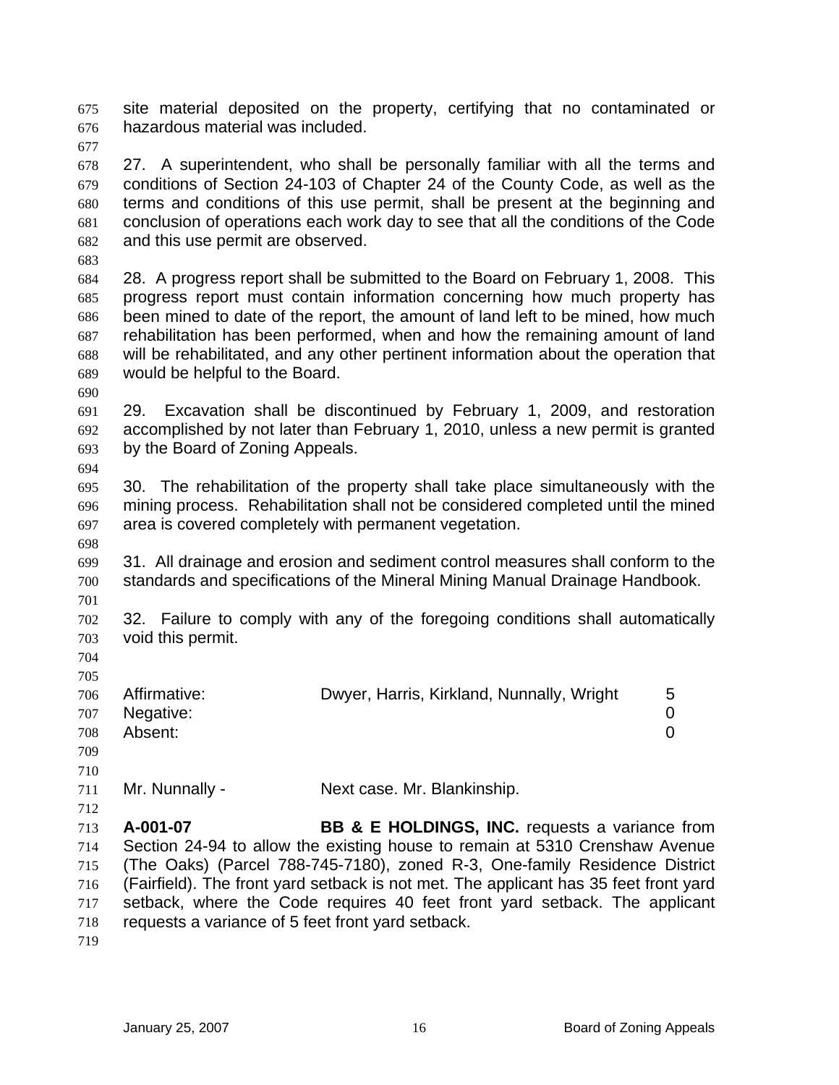site material deposited on the property, certifying that no contaminated or hazardous material was included. 675 676

677

678 679 680 681 682 27. A superintendent, who shall be personally familiar with all the terms and conditions of Section 24-103 of Chapter 24 of the County Code, as well as the terms and conditions of this use permit, shall be present at the beginning and conclusion of operations each work day to see that all the conditions of the Code and this use permit are observed.

683

684 685 686 687 688 689 28. A progress report shall be submitted to the Board on February 1, 2008. This progress report must contain information concerning how much property has been mined to date of the report, the amount of land left to be mined, how much rehabilitation has been performed, when and how the remaining amount of land will be rehabilitated, and any other pertinent information about the operation that would be helpful to the Board.

690

694

691 692 693 29. Excavation shall be discontinued by February 1, 2009, and restoration accomplished by not later than February 1, 2010, unless a new permit is granted by the Board of Zoning Appeals.

695 696 697 30. The rehabilitation of the property shall take place simultaneously with the mining process. Rehabilitation shall not be considered completed until the mined area is covered completely with permanent vegetation.

698 699 700 701 31. All drainage and erosion and sediment control measures shall conform to the standards and specifications of the Mineral Mining Manual Drainage Handbook.

702 703 32. Failure to comply with any of the foregoing conditions shall automatically void this permit.

704 705

| 706 | Affirmative:  | Dwyer, Harris, Kirkland, Nunnally, Wright | .5 |
|-----|---------------|-------------------------------------------|----|
|     | 707 Negative: |                                           |    |
| 708 | Absent:       |                                           |    |
| 709 |               |                                           |    |

710

712

711 Mr. Nunnally - Next case. Mr. Blankinship.

713 714 715 716 717 718 **A-001-07 BB & E HOLDINGS, INC.** requests a variance from Section 24-94 to allow the existing house to remain at 5310 Crenshaw Avenue (The Oaks) (Parcel 788-745-7180), zoned R-3, One-family Residence District (Fairfield). The front yard setback is not met. The applicant has 35 feet front yard setback, where the Code requires 40 feet front yard setback. The applicant requests a variance of 5 feet front yard setback.

719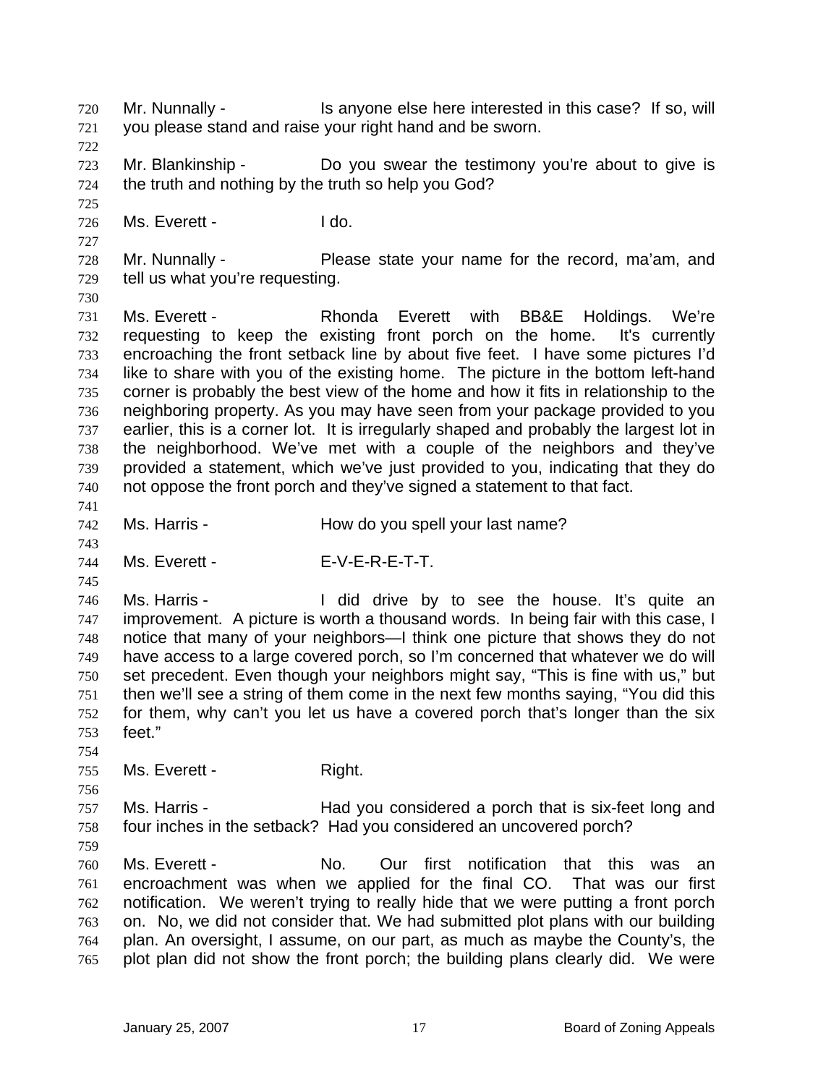Mr. Nunnally - This anyone else here interested in this case? If so, will you please stand and raise your right hand and be sworn. 720 721 722 723 724 725 726 727 728 729 730 731 732 733 734 735 736 737 738 739 740 741 742 743 744 745 746 747 748 749 750 751 752 753 754 755 756 757 758 759 760 761 762 763 764 765 Mr. Blankinship - Do you swear the testimony you're about to give is the truth and nothing by the truth so help you God? Ms. Fverett - I do. Mr. Nunnally - Please state your name for the record, ma'am, and tell us what you're requesting. Ms. Everett - The Rhonda Everett with BB&E Holdings. We're requesting to keep the existing front porch on the home. It's currently encroaching the front setback line by about five feet. I have some pictures I'd like to share with you of the existing home. The picture in the bottom left-hand corner is probably the best view of the home and how it fits in relationship to the neighboring property. As you may have seen from your package provided to you earlier, this is a corner lot. It is irregularly shaped and probably the largest lot in the neighborhood. We've met with a couple of the neighbors and they've provided a statement, which we've just provided to you, indicating that they do not oppose the front porch and they've signed a statement to that fact. Ms. Harris - The How do you spell your last name? Ms. Fyerett - F-V-F-R-F-T-T. Ms. Harris - The Hold drive by to see the house. It's quite an improvement. A picture is worth a thousand words. In being fair with this case, I notice that many of your neighbors—I think one picture that shows they do not have access to a large covered porch, so I'm concerned that whatever we do will set precedent. Even though your neighbors might say, "This is fine with us," but then we'll see a string of them come in the next few months saying, "You did this for them, why can't you let us have a covered porch that's longer than the six feet." Ms. Everett - Right. Ms. Harris - Thad you considered a porch that is six-feet long and four inches in the setback? Had you considered an uncovered porch? Ms. Everett - No. Our first notification that this was an encroachment was when we applied for the final CO. That was our first notification. We weren't trying to really hide that we were putting a front porch on. No, we did not consider that. We had submitted plot plans with our building plan. An oversight, I assume, on our part, as much as maybe the County's, the plot plan did not show the front porch; the building plans clearly did. We were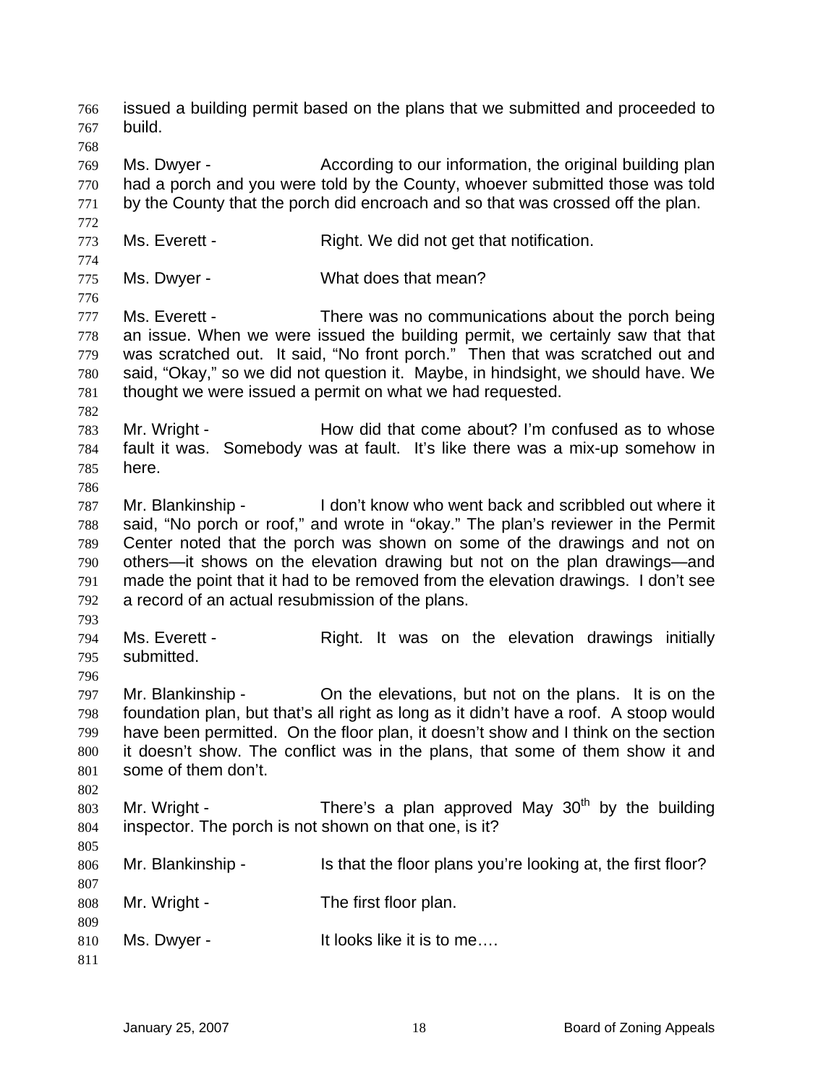issued a building permit based on the plans that we submitted and proceeded to build. 766 767 768 769 770 771 772 773 774 775 776 777 778 779 780 781 782 783 784 785 786 787 788 789 790 791 792 793 794 795 796 797 798 799 800 801 802 803 804 805 806 807 808 809 810 811 Ms. Dwyer - **According to our information, the original building plan** had a porch and you were told by the County, whoever submitted those was told by the County that the porch did encroach and so that was crossed off the plan. Ms. Everett - Right. We did not get that notification. Ms. Dwyer - What does that mean? Ms. Everett - There was no communications about the porch being an issue. When we were issued the building permit, we certainly saw that that was scratched out. It said, "No front porch." Then that was scratched out and said, "Okay," so we did not question it. Maybe, in hindsight, we should have. We thought we were issued a permit on what we had requested. Mr. Wright - How did that come about? I'm confused as to whose fault it was. Somebody was at fault. It's like there was a mix-up somehow in here. Mr. Blankinship - I don't know who went back and scribbled out where it said, "No porch or roof," and wrote in "okay." The plan's reviewer in the Permit Center noted that the porch was shown on some of the drawings and not on others—it shows on the elevation drawing but not on the plan drawings—and made the point that it had to be removed from the elevation drawings. I don't see a record of an actual resubmission of the plans. Ms. Everett - The Right. It was on the elevation drawings initially submitted. Mr. Blankinship - On the elevations, but not on the plans. It is on the foundation plan, but that's all right as long as it didn't have a roof. A stoop would have been permitted. On the floor plan, it doesn't show and I think on the section it doesn't show. The conflict was in the plans, that some of them show it and some of them don't. Mr. Wright - There's a plan approved May 30<sup>th</sup> by the building inspector. The porch is not shown on that one, is it? Mr. Blankinship - Is that the floor plans you're looking at, the first floor? Mr. Wright - The first floor plan. Ms. Dwyer - It looks like it is to me....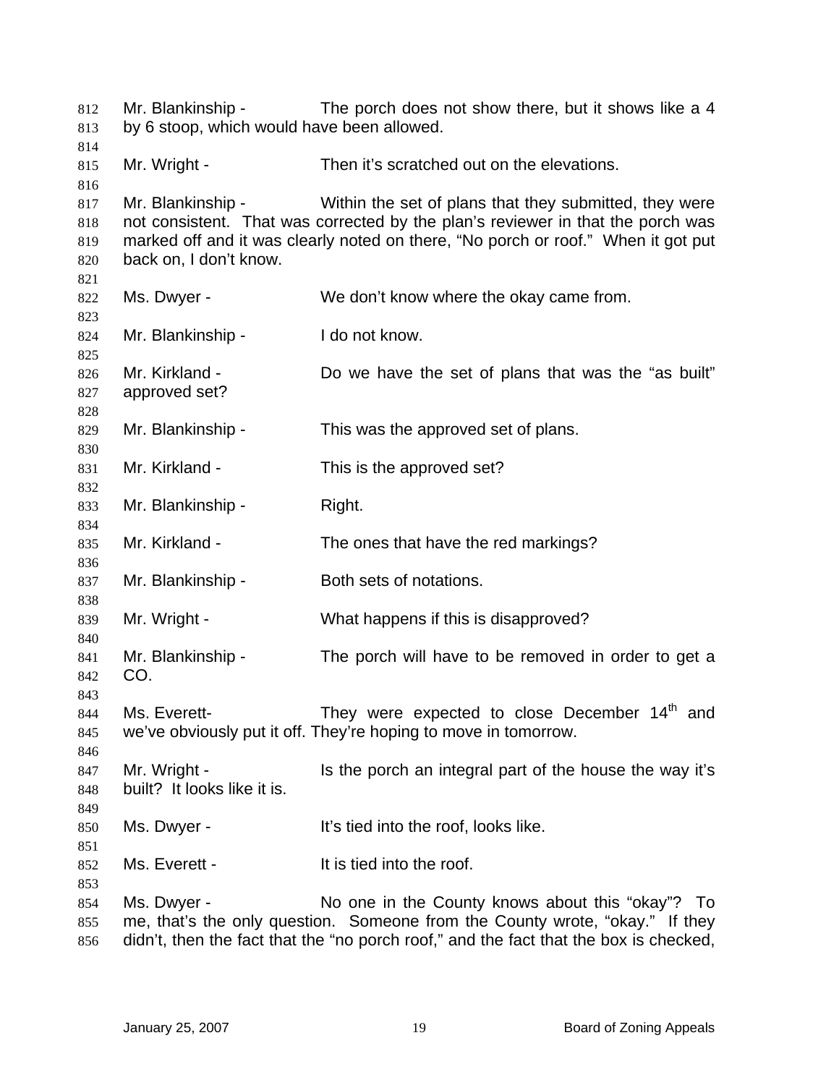Mr. Blankinship - The porch does not show there, but it shows like a 4 by 6 stoop, which would have been allowed. Mr. Wright - Then it's scratched out on the elevations. Mr. Blankinship - Within the set of plans that they submitted, they were not consistent. That was corrected by the plan's reviewer in that the porch was marked off and it was clearly noted on there, "No porch or roof." When it got put back on, I don't know. Ms. Dwyer - We don't know where the okay came from. Mr. Blankinship - I do not know. Mr. Kirkland - Do we have the set of plans that was the "as built" approved set? Mr. Blankinship - This was the approved set of plans. Mr. Kirkland - This is the approved set? Mr. Blankinship - Right. Mr. Kirkland - The ones that have the red markings? Mr. Blankinship - Both sets of notations. Mr. Wright - What happens if this is disapproved? Mr. Blankinship - The porch will have to be removed in order to get a CO. Ms. Everett- They were expected to close December 14<sup>th</sup> and we've obviously put it off. They're hoping to move in tomorrow. Mr. Wright - Is the porch an integral part of the house the way it's built? It looks like it is. Ms. Dwyer - The Music of the roof, looks like. Ms. Everett - The less list is tied into the roof. Ms. Dwyer - No one in the County knows about this "okay"? To me, that's the only question. Someone from the County wrote, "okay." If they didn't, then the fact that the "no porch roof," and the fact that the box is checked,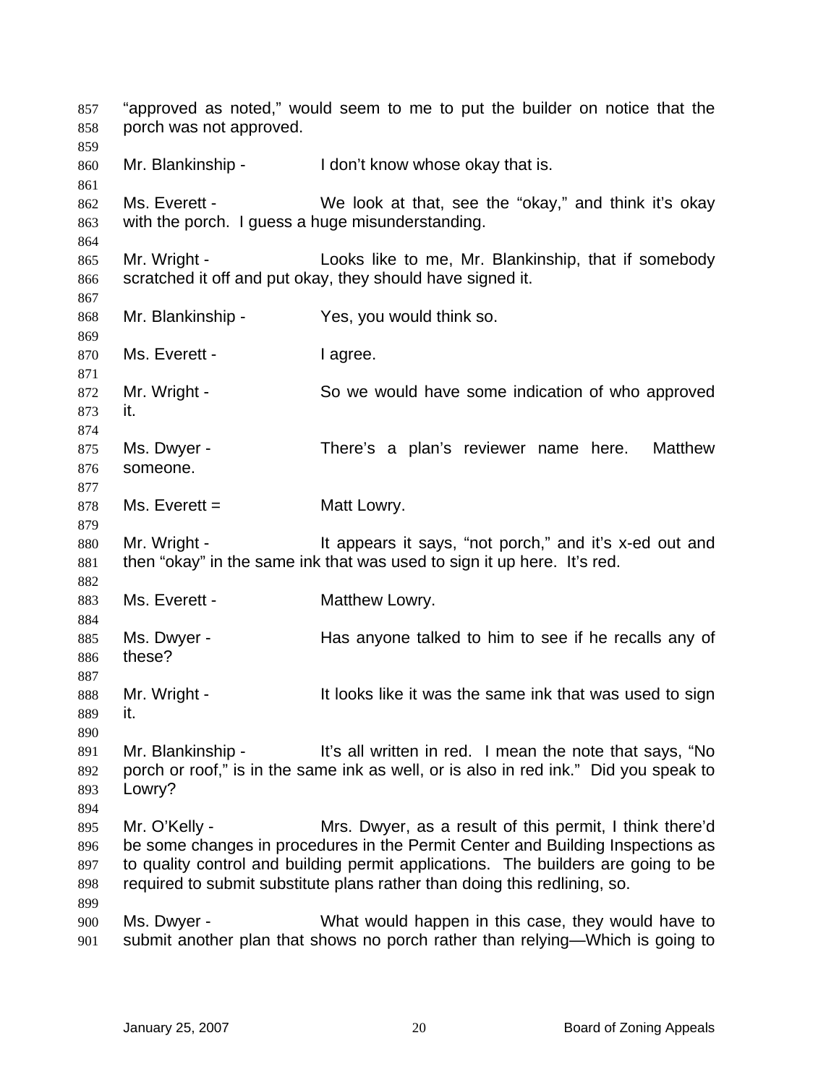"approved as noted," would seem to me to put the builder on notice that the porch was not approved. 857 858 859 860 861 862 863 864 865 866 867 868 869 870 871 872 873 874 875 876 877 878 879 880 881 882 883 884 885 886 887 888 889 890 891 892 893 894 895 896 897 898 899 900 901 Mr. Blankinship - I don't know whose okay that is. Ms. Everett - We look at that, see the "okay," and think it's okay with the porch. I guess a huge misunderstanding. Mr. Wright - The Looks like to me, Mr. Blankinship, that if somebody scratched it off and put okay, they should have signed it. Mr. Blankinship - Yes, you would think so. Ms. Everett - I agree. Mr. Wright - So we would have some indication of who approved it. Ms. Dwyer - There's a plan's reviewer name here. Matthew someone.  $Ms.$  Everett =  $Mast$  Lowry. Mr. Wright - It appears it says, "not porch," and it's x-ed out and then "okay" in the same ink that was used to sign it up here. It's red. Ms. Everett - **Matthew Lowry.** Ms. Dwyer - Has anyone talked to him to see if he recalls any of these? Mr. Wright - It looks like it was the same ink that was used to sign it. Mr. Blankinship - It's all written in red. I mean the note that says, "No porch or roof," is in the same ink as well, or is also in red ink." Did you speak to Lowry? Mr. O'Kelly - Mrs. Dwyer, as a result of this permit, I think there'd be some changes in procedures in the Permit Center and Building Inspections as to quality control and building permit applications. The builders are going to be required to submit substitute plans rather than doing this redlining, so. Ms. Dwyer - What would happen in this case, they would have to submit another plan that shows no porch rather than relying—Which is going to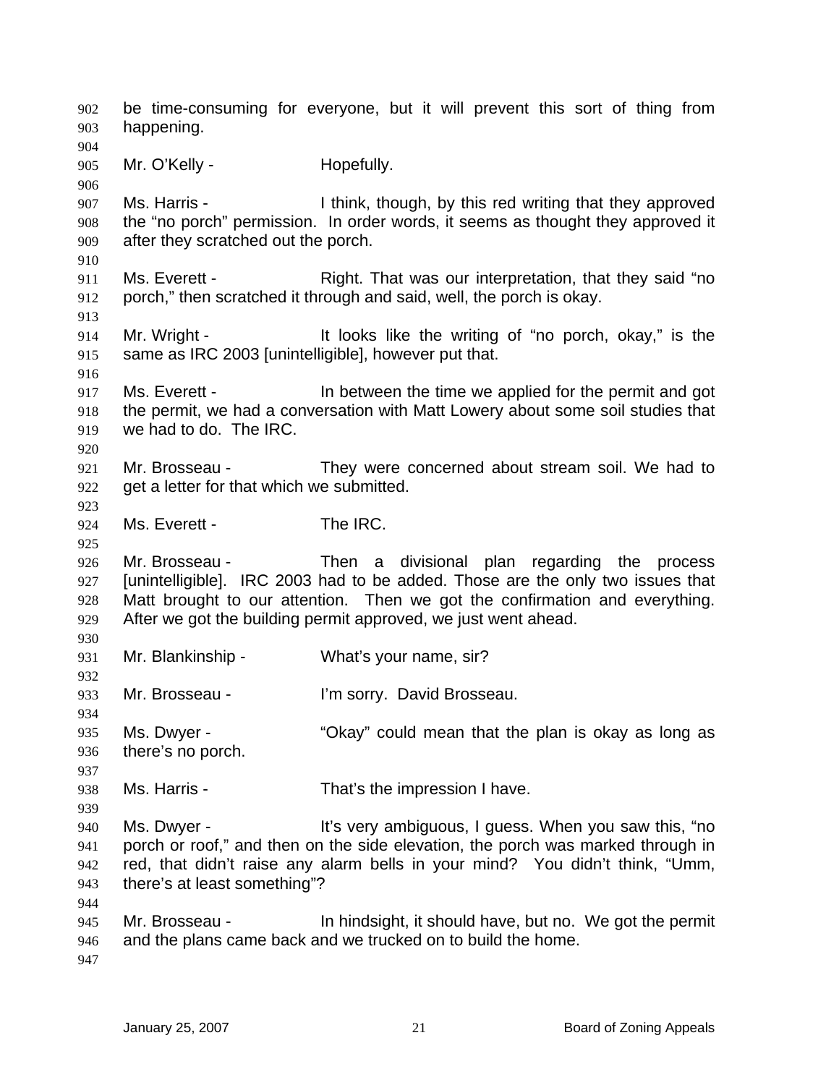be time-consuming for everyone, but it will prevent this sort of thing from happening. 902 903 904 905 906 907 908 909 910 911 912 913 914 915 916 917 918 919 920 921 922 923 924 925 926 927 928 929 930 931 932 933 934 935 936 937 938 939 940 941 942 943 944 945 946 947 Mr. O'Kelly - **Hopefully.** Ms. Harris - Think, though, by this red writing that they approved the "no porch" permission. In order words, it seems as thought they approved it after they scratched out the porch. Ms. Everett - Right. That was our interpretation, that they said "no porch," then scratched it through and said, well, the porch is okay. Mr. Wright - The It looks like the writing of "no porch, okay," is the same as IRC 2003 [unintelligible], however put that. Ms. Everett - In between the time we applied for the permit and got the permit, we had a conversation with Matt Lowery about some soil studies that we had to do. The IRC. Mr. Brosseau - They were concerned about stream soil. We had to get a letter for that which we submitted. Ms. Everett - The IRC. Mr. Brosseau - Then a divisional plan regarding the process [unintelligible]. IRC 2003 had to be added. Those are the only two issues that Matt brought to our attention. Then we got the confirmation and everything. After we got the building permit approved, we just went ahead. Mr. Blankinship - What's your name, sir? Mr. Brosseau - **I'm sorry.** David Brosseau. Ms. Dwyer - "Okay" could mean that the plan is okay as long as there's no porch. Ms. Harris - That's the impression I have. Ms. Dwyer - This very ambiguous, I guess. When you saw this, "no porch or roof," and then on the side elevation, the porch was marked through in red, that didn't raise any alarm bells in your mind? You didn't think, "Umm, there's at least something"? Mr. Brosseau - In hindsight, it should have, but no. We got the permit and the plans came back and we trucked on to build the home.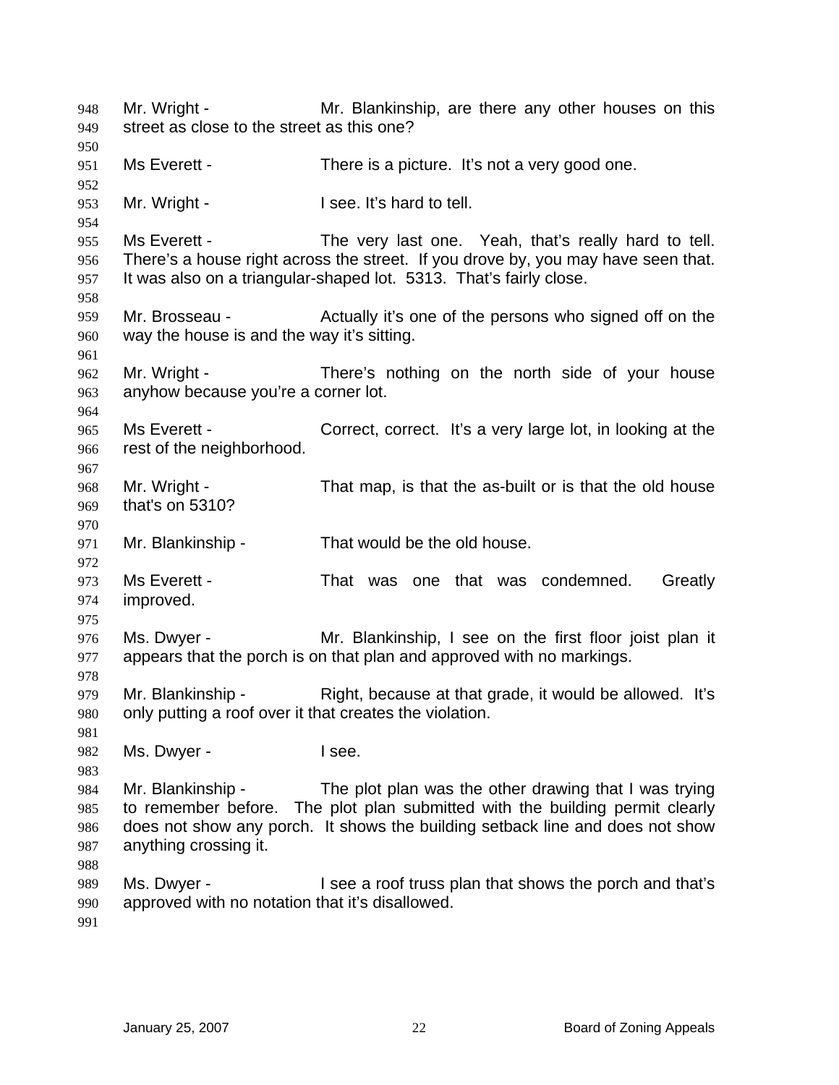Mr. Wright - Mr. Blankinship, are there any other houses on this street as close to the street as this one? 948 949 950 951 952 953 954 955 956 957 958 959 960 961 962 963 964 965 966 967 968 969 970 971 972 973 974 975 976 977 978 979 980 981 982 983 984 985 986 987 988 989 990 991 Ms Everett - There is a picture. It's not a very good one. Mr. Wright - The Music Lie of the I see. It's hard to tell. Ms Everett - The very last one. Yeah, that's really hard to tell. There's a house right across the street. If you drove by, you may have seen that. It was also on a triangular-shaped lot. 5313. That's fairly close. Mr. Brosseau - Actually it's one of the persons who signed off on the way the house is and the way it's sitting. Mr. Wright - There's nothing on the north side of your house anyhow because you're a corner lot. Ms Everett - Correct, correct. It's a very large lot, in looking at the rest of the neighborhood. Mr. Wright - That map, is that the as-built or is that the old house that's on 5310? Mr. Blankinship - That would be the old house. Ms Everett - That was one that was condemned. Greatly improved. Ms. Dwyer - Mr. Blankinship, I see on the first floor joist plan it appears that the porch is on that plan and approved with no markings. Mr. Blankinship - Right, because at that grade, it would be allowed. It's only putting a roof over it that creates the violation. Ms. Dwyer - The Ree. Mr. Blankinship - The plot plan was the other drawing that I was trying to remember before. The plot plan submitted with the building permit clearly does not show any porch. It shows the building setback line and does not show anything crossing it. Ms. Dwyer - I see a roof truss plan that shows the porch and that's approved with no notation that it's disallowed.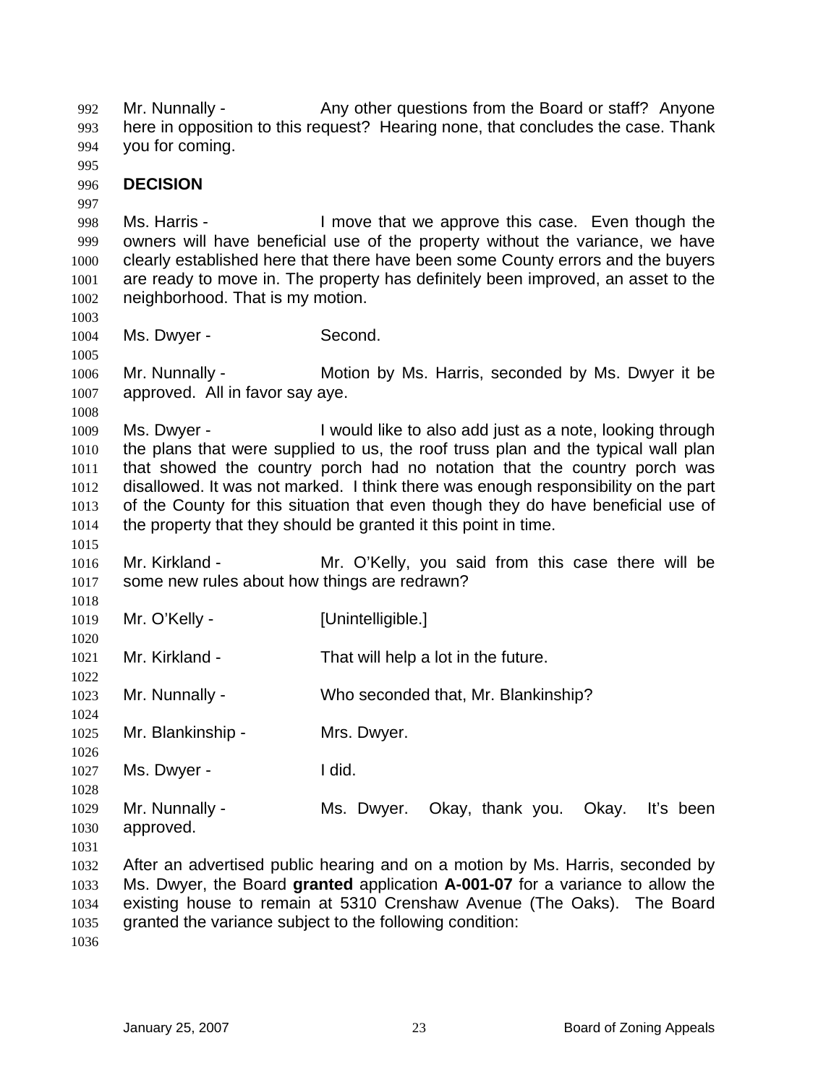Mr. Nunnally - Any other questions from the Board or staff? Anyone here in opposition to this request? Hearing none, that concludes the case. Thank you for coming. 992 993 994

995

997

## 996 **DECISION**

998 999 1000 1001 1002 Ms. Harris - The Move that we approve this case. Even though the owners will have beneficial use of the property without the variance, we have clearly established here that there have been some County errors and the buyers are ready to move in. The property has definitely been improved, an asset to the neighborhood. That is my motion.

1004 Ms. Dwyer - Second.

1006 1007 Mr. Nunnally - **Motion by Ms. Harris, seconded by Ms. Dwyer it be** approved. All in favor say aye.

1008

1015

1020

1022

1024

1003

1005

1009 1010 1011 1012 1013 1014 Ms. Dwyer - I would like to also add just as a note, looking through the plans that were supplied to us, the roof truss plan and the typical wall plan that showed the country porch had no notation that the country porch was disallowed. It was not marked. I think there was enough responsibility on the part of the County for this situation that even though they do have beneficial use of the property that they should be granted it this point in time.

1016 1017 Mr. Kirkland - Mr. O'Kelly, you said from this case there will be some new rules about how things are redrawn?

1018 1019 Mr. O'Kelly - [Unintelligible.]

1021 Mr. Kirkland - That will help a lot in the future.

1023 Mr. Nunnally - Who seconded that, Mr. Blankinship?

1025 Mr. Blankinship - Mrs. Dwyer.

1026 1027 Ms. Dwyer - The United States and I did.

1028 1029 1030 Mr. Nunnally - Ms. Dwyer. Okay, thank you. Okay. It's been approved.

1031

1032 1033 1034 1035 After an advertised public hearing and on a motion by Ms. Harris, seconded by Ms. Dwyer, the Board **granted** application **A-001-07** for a variance to allow the existing house to remain at 5310 Crenshaw Avenue (The Oaks). The Board granted the variance subject to the following condition:

1036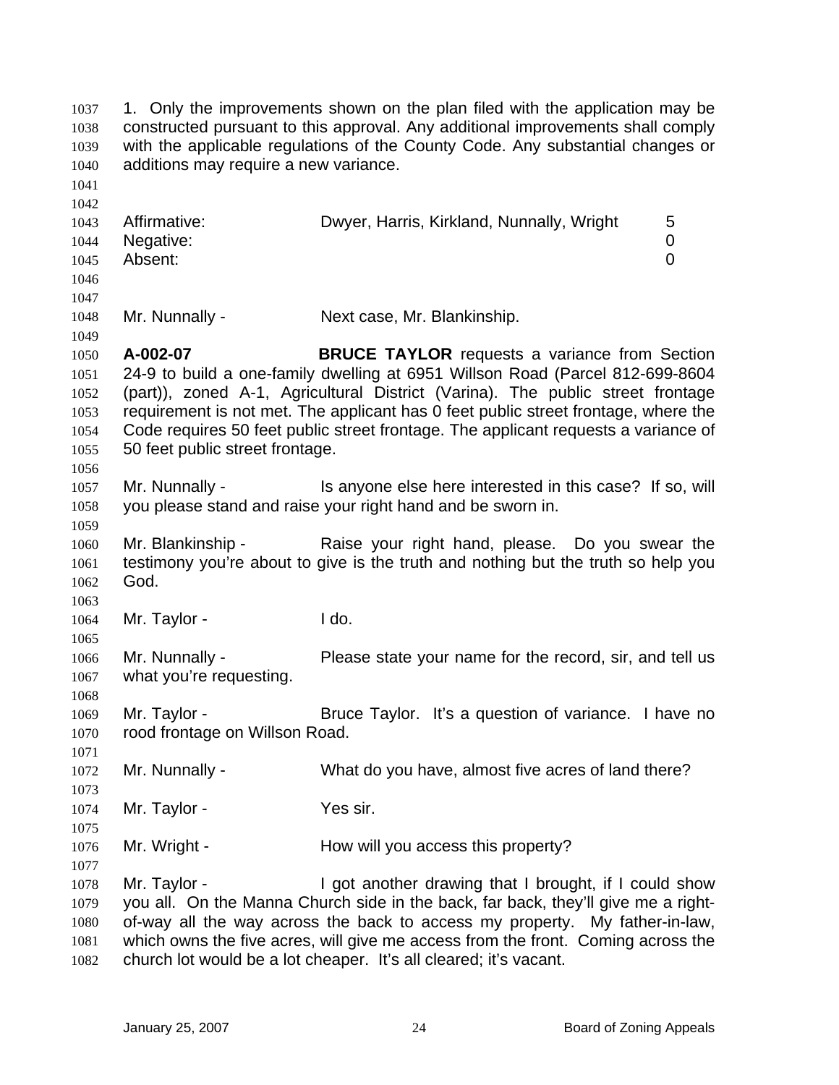| 1037<br>1038<br>1039<br>1040<br>1041                 | additions may require a new variance.          | 1. Only the improvements shown on the plan filed with the application may be<br>constructed pursuant to this approval. Any additional improvements shall comply<br>with the applicable regulations of the County Code. Any substantial changes or                                                                                                                                                   |             |
|------------------------------------------------------|------------------------------------------------|-----------------------------------------------------------------------------------------------------------------------------------------------------------------------------------------------------------------------------------------------------------------------------------------------------------------------------------------------------------------------------------------------------|-------------|
| 1042<br>1043<br>1044<br>1045<br>1046<br>1047         | Affirmative:<br>Negative:<br>Absent:           | Dwyer, Harris, Kirkland, Nunnally, Wright                                                                                                                                                                                                                                                                                                                                                           | 5<br>0<br>0 |
| 1048<br>1049                                         | Mr. Nunnally -                                 | Next case, Mr. Blankinship.                                                                                                                                                                                                                                                                                                                                                                         |             |
| 1050<br>1051<br>1052<br>1053<br>1054<br>1055<br>1056 | A-002-07<br>50 feet public street frontage.    | <b>BRUCE TAYLOR</b> requests a variance from Section<br>24-9 to build a one-family dwelling at 6951 Willson Road (Parcel 812-699-8604<br>(part)), zoned A-1, Agricultural District (Varina). The public street frontage<br>requirement is not met. The applicant has 0 feet public street frontage, where the<br>Code requires 50 feet public street frontage. The applicant requests a variance of |             |
| 1057<br>1058                                         | Mr. Nunnally -                                 | Is anyone else here interested in this case? If so, will<br>you please stand and raise your right hand and be sworn in.                                                                                                                                                                                                                                                                             |             |
| 1059<br>1060<br>1061<br>1062                         | Mr. Blankinship -<br>God.                      | Raise your right hand, please. Do you swear the<br>testimony you're about to give is the truth and nothing but the truth so help you                                                                                                                                                                                                                                                                |             |
| 1063<br>1064<br>1065                                 | Mr. Taylor -                                   | I do.                                                                                                                                                                                                                                                                                                                                                                                               |             |
| 1066<br>1067<br>1068                                 | Mr. Nunnally -<br>what you're requesting.      | Please state your name for the record, sir, and tell us                                                                                                                                                                                                                                                                                                                                             |             |
| 1069<br>1070<br>1071                                 | Mr. Taylor -<br>rood frontage on Willson Road. | Bruce Taylor. It's a question of variance. I have no                                                                                                                                                                                                                                                                                                                                                |             |
| 1072<br>1073                                         | Mr. Nunnally -                                 | What do you have, almost five acres of land there?                                                                                                                                                                                                                                                                                                                                                  |             |
| 1074<br>1075                                         | Mr. Taylor -                                   | Yes sir.                                                                                                                                                                                                                                                                                                                                                                                            |             |
| 1076                                                 | Mr. Wright -                                   | How will you access this property?                                                                                                                                                                                                                                                                                                                                                                  |             |
| 1077<br>1078<br>1079<br>1080<br>1081<br>1082         | Mr. Taylor -                                   | I got another drawing that I brought, if I could show<br>you all. On the Manna Church side in the back, far back, they'll give me a right-<br>of-way all the way across the back to access my property. My father-in-law,<br>which owns the five acres, will give me access from the front. Coming across the<br>church lot would be a lot cheaper. It's all cleared; it's vacant.                  |             |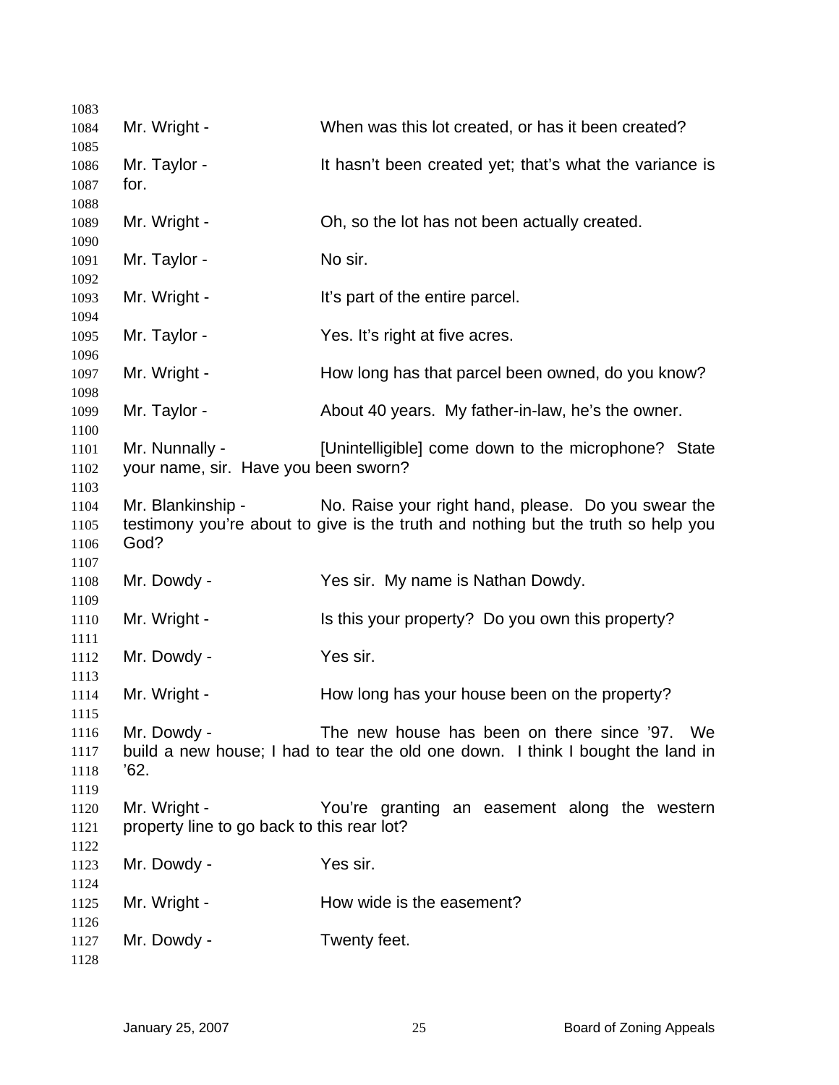| 1083         |                                            |                                                                                   |
|--------------|--------------------------------------------|-----------------------------------------------------------------------------------|
| 1084         | Mr. Wright -                               | When was this lot created, or has it been created?                                |
| 1085         |                                            |                                                                                   |
| 1086         | Mr. Taylor -                               | It hasn't been created yet; that's what the variance is                           |
| 1087         | for.                                       |                                                                                   |
| 1088         |                                            |                                                                                   |
| 1089         | Mr. Wright -                               | Oh, so the lot has not been actually created.                                     |
| 1090         |                                            |                                                                                   |
| 1091         | Mr. Taylor -                               | No sir.                                                                           |
| 1092         |                                            |                                                                                   |
| 1093         | Mr. Wright -                               | It's part of the entire parcel.                                                   |
| 1094         |                                            |                                                                                   |
| 1095         | Mr. Taylor -                               | Yes. It's right at five acres.                                                    |
| 1096         |                                            |                                                                                   |
| 1097         | Mr. Wright -                               | How long has that parcel been owned, do you know?                                 |
| 1098         |                                            |                                                                                   |
| 1099         | Mr. Taylor -                               | About 40 years. My father-in-law, he's the owner.                                 |
| 1100         |                                            |                                                                                   |
| 1101         | Mr. Nunnally -                             | [Unintelligible] come down to the microphone? State                               |
| 1102         | your name, sir. Have you been sworn?       |                                                                                   |
| 1103         |                                            |                                                                                   |
| 1104         | Mr. Blankinship -                          | No. Raise your right hand, please. Do you swear the                               |
| 1105         | God?                                       | testimony you're about to give is the truth and nothing but the truth so help you |
| 1106         |                                            |                                                                                   |
| 1107<br>1108 | Mr. Dowdy -                                | Yes sir. My name is Nathan Dowdy.                                                 |
| 1109         |                                            |                                                                                   |
| 1110         | Mr. Wright -                               | Is this your property? Do you own this property?                                  |
| 1111         |                                            |                                                                                   |
| 1112         | Mr. Dowdy -                                | Yes sir.                                                                          |
| 1113         |                                            |                                                                                   |
| 1114         | Mr. Wright -                               | How long has your house been on the property?                                     |
| 1115         |                                            |                                                                                   |
| 1116         | Mr. Dowdy -                                | The new house has been on there since '97. We                                     |
| 1117         |                                            | build a new house; I had to tear the old one down. I think I bought the land in   |
| 1118         | '62.                                       |                                                                                   |
| 1119         |                                            |                                                                                   |
| 1120         | Mr. Wright -                               | You're granting an easement along the western                                     |
| 1121         | property line to go back to this rear lot? |                                                                                   |
| 1122         |                                            |                                                                                   |
| 1123         | Mr. Dowdy -                                | Yes sir.                                                                          |
| 1124         |                                            |                                                                                   |
| 1125         | Mr. Wright -                               | How wide is the easement?                                                         |
| 1126         |                                            |                                                                                   |
| 1127         | Mr. Dowdy -                                | Twenty feet.                                                                      |
| 1128         |                                            |                                                                                   |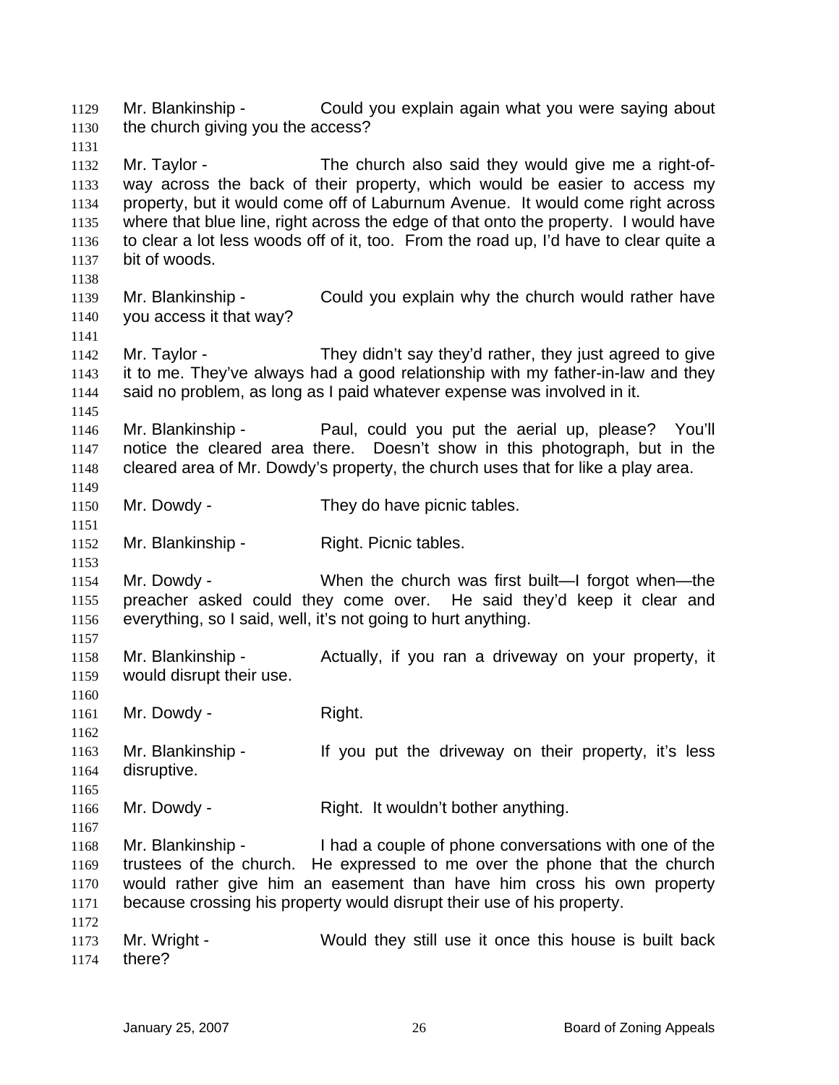Mr. Blankinship - Could you explain again what you were saying about the church giving you the access? 1129 1130 1131

1132 1133 1134 1135 1136 1137 Mr. Taylor - The church also said they would give me a right-ofway across the back of their property, which would be easier to access my property, but it would come off of Laburnum Avenue. It would come right across where that blue line, right across the edge of that onto the property. I would have to clear a lot less woods off of it, too. From the road up, I'd have to clear quite a bit of woods.

1139 1140 Mr. Blankinship - Could you explain why the church would rather have you access it that way?

1142 1143 1144 Mr. Taylor - They didn't say they'd rather, they just agreed to give it to me. They've always had a good relationship with my father-in-law and they said no problem, as long as I paid whatever expense was involved in it.

1146 1147 1148 Mr. Blankinship - The Paul, could you put the aerial up, please? You'll notice the cleared area there. Doesn't show in this photograph, but in the cleared area of Mr. Dowdy's property, the church uses that for like a play area.

- 1150 Mr. Dowdy - They do have picnic tables.
- 1152 Mr. Blankinship - Right. Picnic tables.

1154 1155 1156 Mr. Dowdy - When the church was first built—I forgot when—the preacher asked could they come over. He said they'd keep it clear and everything, so I said, well, it's not going to hurt anything.

- 1158 1159 Mr. Blankinship - Actually, if you ran a driveway on your property, it would disrupt their use.
- 1161 Mr. Dowdy - Right.

1138

1141

1145

1149

1151

1153

1157

1160

1162

1165

1167

1172

1163 1164 Mr. Blankinship - If you put the driveway on their property, it's less disruptive.

1166 Mr. Dowdy - Right. It wouldn't bother anything.

1168 1169 1170 1171 Mr. Blankinship - I had a couple of phone conversations with one of the trustees of the church. He expressed to me over the phone that the church would rather give him an easement than have him cross his own property because crossing his property would disrupt their use of his property.

1173 1174 Mr. Wright - Would they still use it once this house is built back there?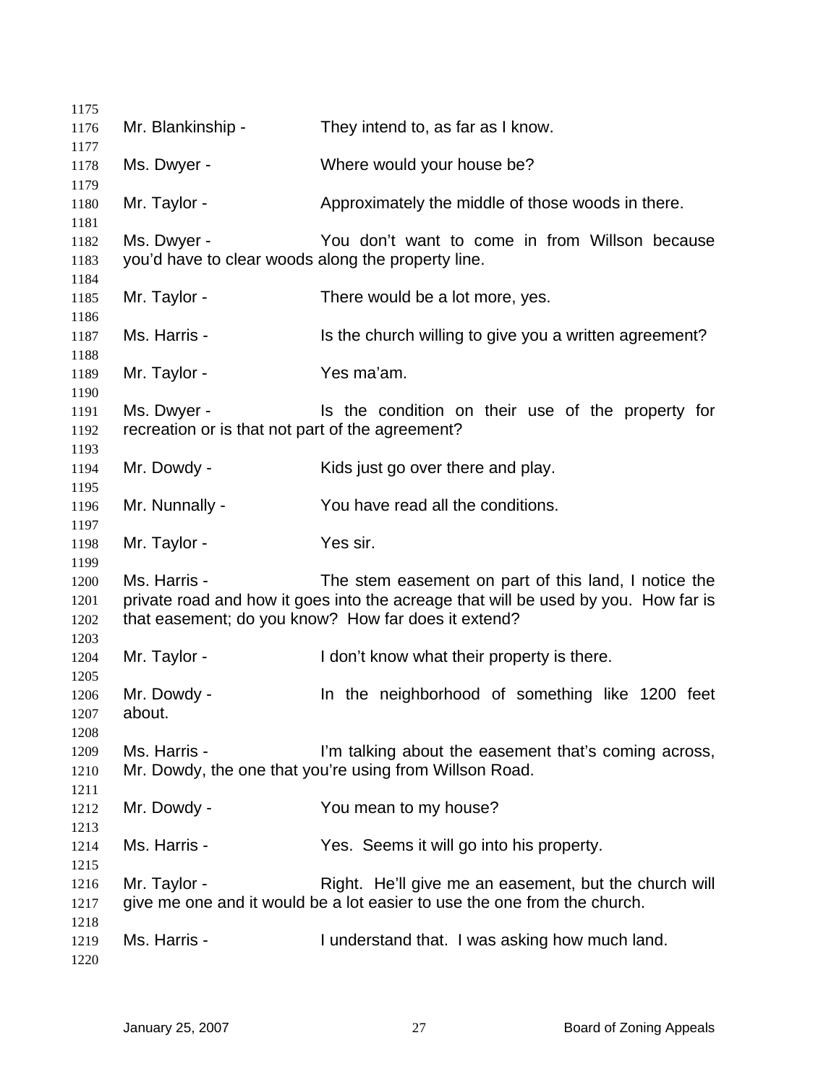| 1175                         |                                                                   |                                                                                                                                                                                                   |
|------------------------------|-------------------------------------------------------------------|---------------------------------------------------------------------------------------------------------------------------------------------------------------------------------------------------|
| 1176                         | Mr. Blankinship -                                                 | They intend to, as far as I know.                                                                                                                                                                 |
| 1177<br>1178                 | Ms. Dwyer -                                                       | Where would your house be?                                                                                                                                                                        |
| 1179<br>1180                 | Mr. Taylor -                                                      | Approximately the middle of those woods in there.                                                                                                                                                 |
| 1181<br>1182<br>1183         | Ms. Dwyer -<br>you'd have to clear woods along the property line. | You don't want to come in from Willson because                                                                                                                                                    |
| 1184<br>1185                 | Mr. Taylor -                                                      | There would be a lot more, yes.                                                                                                                                                                   |
| 1186<br>1187                 | Ms. Harris -                                                      | Is the church willing to give you a written agreement?                                                                                                                                            |
| 1188<br>1189                 | Mr. Taylor -                                                      | Yes ma'am.                                                                                                                                                                                        |
| 1190<br>1191<br>1192         | Ms. Dwyer -<br>recreation or is that not part of the agreement?   | Is the condition on their use of the property for                                                                                                                                                 |
| 1193<br>1194                 | Mr. Dowdy -                                                       | Kids just go over there and play.                                                                                                                                                                 |
| 1195<br>1196                 | Mr. Nunnally -                                                    | You have read all the conditions.                                                                                                                                                                 |
| 1197<br>1198                 | Mr. Taylor -                                                      | Yes sir.                                                                                                                                                                                          |
| 1199<br>1200<br>1201<br>1202 | Ms. Harris -                                                      | The stem easement on part of this land, I notice the<br>private road and how it goes into the acreage that will be used by you. How far is<br>that easement; do you know? How far does it extend? |
| 1203<br>1204                 | Mr. Taylor -                                                      | I don't know what their property is there.                                                                                                                                                        |
| 1205<br>1206<br>1207<br>1208 | Mr. Dowdy -<br>about.                                             | In the neighborhood of something like 1200 feet                                                                                                                                                   |
| 1209<br>1210<br>1211         | Ms. Harris -                                                      | I'm talking about the easement that's coming across,<br>Mr. Dowdy, the one that you're using from Willson Road.                                                                                   |
| 1212<br>1213                 | Mr. Dowdy -                                                       | You mean to my house?                                                                                                                                                                             |
| 1214<br>1215                 | Ms. Harris -                                                      | Yes. Seems it will go into his property.                                                                                                                                                          |
| 1216<br>1217                 | Mr. Taylor -                                                      | Right. He'll give me an easement, but the church will<br>give me one and it would be a lot easier to use the one from the church.                                                                 |
| 1218<br>1219<br>1220         | Ms. Harris -                                                      | I understand that. I was asking how much land.                                                                                                                                                    |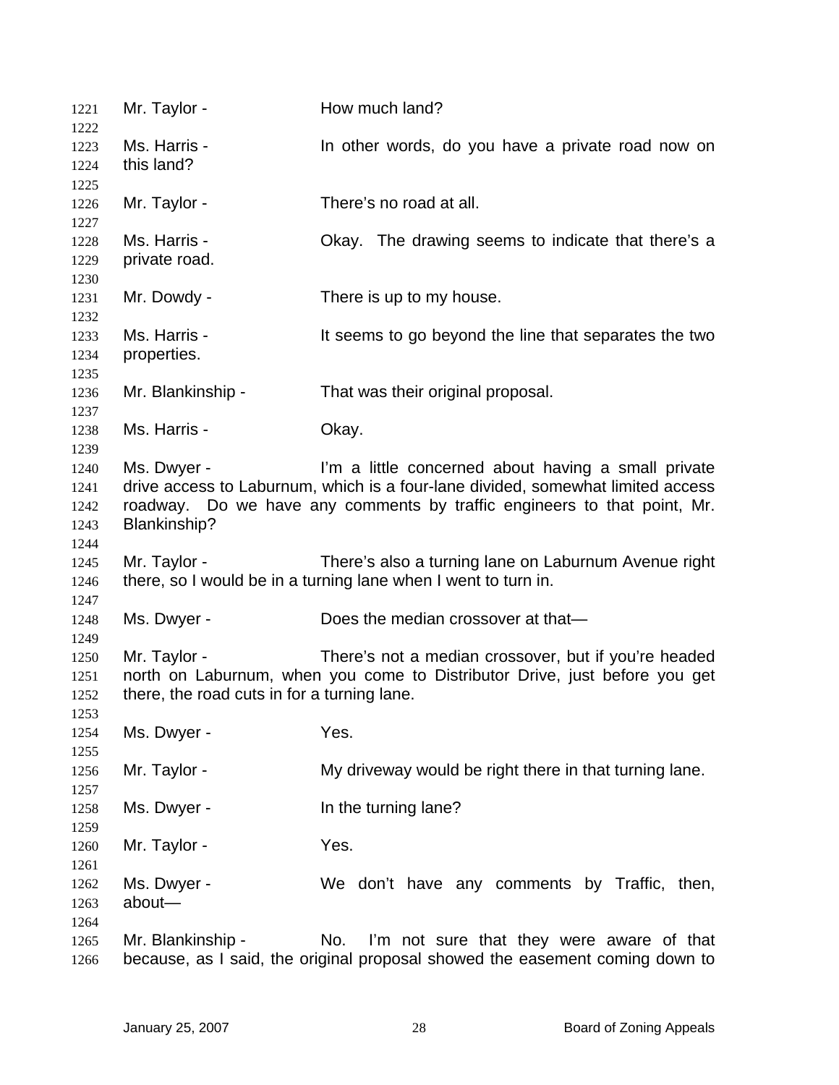| 1221<br>1222 | Mr. Taylor -                                | How much land?                                                                  |
|--------------|---------------------------------------------|---------------------------------------------------------------------------------|
| 1223         | Ms. Harris -                                | In other words, do you have a private road now on                               |
| 1224         | this land?                                  |                                                                                 |
| 1225         |                                             |                                                                                 |
| 1226         | Mr. Taylor -                                | There's no road at all.                                                         |
| 1227         | Ms. Harris -                                | Okay. The drawing seems to indicate that there's a                              |
| 1228<br>1229 | private road.                               |                                                                                 |
| 1230         |                                             |                                                                                 |
| 1231         | Mr. Dowdy -                                 | There is up to my house.                                                        |
| 1232         |                                             |                                                                                 |
| 1233         | Ms. Harris -                                | It seems to go beyond the line that separates the two                           |
| 1234         | properties.                                 |                                                                                 |
| 1235         |                                             |                                                                                 |
| 1236         | Mr. Blankinship -                           | That was their original proposal.                                               |
| 1237         |                                             |                                                                                 |
| 1238         | Ms. Harris -                                | Okay.                                                                           |
| 1239         |                                             |                                                                                 |
| 1240         | Ms. Dwyer -                                 | I'm a little concerned about having a small private                             |
| 1241         |                                             | drive access to Laburnum, which is a four-lane divided, somewhat limited access |
| 1242         |                                             | roadway. Do we have any comments by traffic engineers to that point, Mr.        |
| 1243         | Blankinship?                                |                                                                                 |
| 1244         |                                             |                                                                                 |
| 1245         | Mr. Taylor -                                | There's also a turning lane on Laburnum Avenue right                            |
| 1246         |                                             | there, so I would be in a turning lane when I went to turn in.                  |
| 1247         |                                             |                                                                                 |
| 1248         | Ms. Dwyer -                                 | Does the median crossover at that-                                              |
| 1249         |                                             |                                                                                 |
| 1250         | Mr. Taylor -                                | There's not a median crossover, but if you're headed                            |
| 1251         |                                             | north on Laburnum, when you come to Distributor Drive, just before you get      |
| 1252         | there, the road cuts in for a turning lane. |                                                                                 |
| 1253         |                                             |                                                                                 |
| 1254         | Ms. Dwyer -                                 | Yes.                                                                            |
| 1255         |                                             |                                                                                 |
| 1256         | Mr. Taylor -                                | My driveway would be right there in that turning lane.                          |
| 1257         |                                             |                                                                                 |
| 1258         | Ms. Dwyer -                                 | In the turning lane?                                                            |
| 1259         |                                             |                                                                                 |
| 1260         | Mr. Taylor -                                | Yes.                                                                            |
| 1261         |                                             |                                                                                 |
| 1262         | Ms. Dwyer -                                 | We don't have any comments by Traffic, then,                                    |
| 1263         | about-                                      |                                                                                 |
| 1264         |                                             | No.                                                                             |
| 1265         | Mr. Blankinship -                           | I'm not sure that they were aware of that                                       |
| 1266         |                                             | because, as I said, the original proposal showed the easement coming down to    |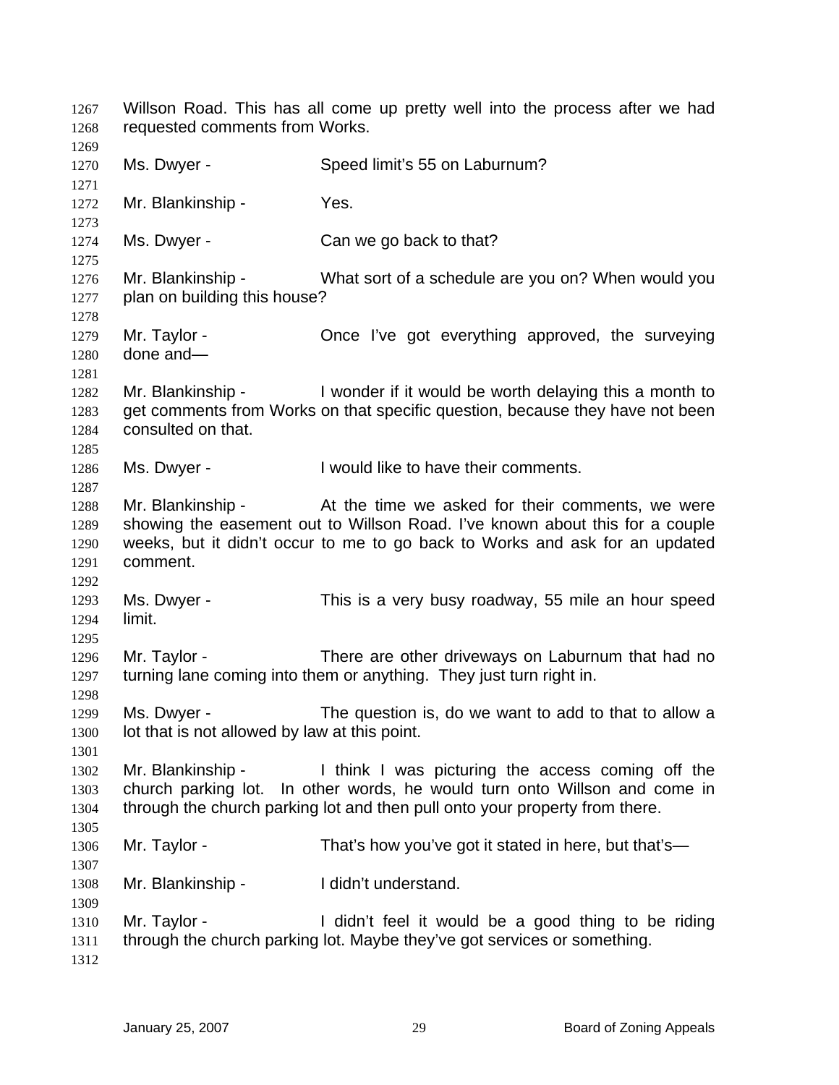Willson Road. This has all come up pretty well into the process after we had requested comments from Works. 1267 1268 1269 1270 1271 1272 1273 1274 1275 1276 1277 1278 1279 1280 1281 1282 1283 1284 1285 1286 1287 1288 1289 1290 1291 1292 1293 1294 1295 1296 1297 1298 1299 1300 1301 1302 1303 1304 1305 1306 1307 1308 1309 1310 1311 1312 Ms. Dwyer - Speed limit's 55 on Laburnum? Mr. Blankinship - Yes. Ms. Dwyer - Can we go back to that? Mr. Blankinship - What sort of a schedule are you on? When would you plan on building this house? Mr. Taylor - Once I've got everything approved, the surveying done and— Mr. Blankinship - I wonder if it would be worth delaying this a month to get comments from Works on that specific question, because they have not been consulted on that. Ms. Dwyer - I would like to have their comments. Mr. Blankinship - The At the time we asked for their comments, we were showing the easement out to Willson Road. I've known about this for a couple weeks, but it didn't occur to me to go back to Works and ask for an updated comment. Ms. Dwyer - This is a very busy roadway, 55 mile an hour speed limit. Mr. Taylor - There are other driveways on Laburnum that had no turning lane coming into them or anything. They just turn right in. Ms. Dwyer - The question is, do we want to add to that to allow a lot that is not allowed by law at this point. Mr. Blankinship - I think I was picturing the access coming off the church parking lot. In other words, he would turn onto Willson and come in through the church parking lot and then pull onto your property from there. Mr. Taylor - That's how you've got it stated in here, but that's— Mr. Blankinship - I didn't understand. Mr. Taylor - I didn't feel it would be a good thing to be riding through the church parking lot. Maybe they've got services or something.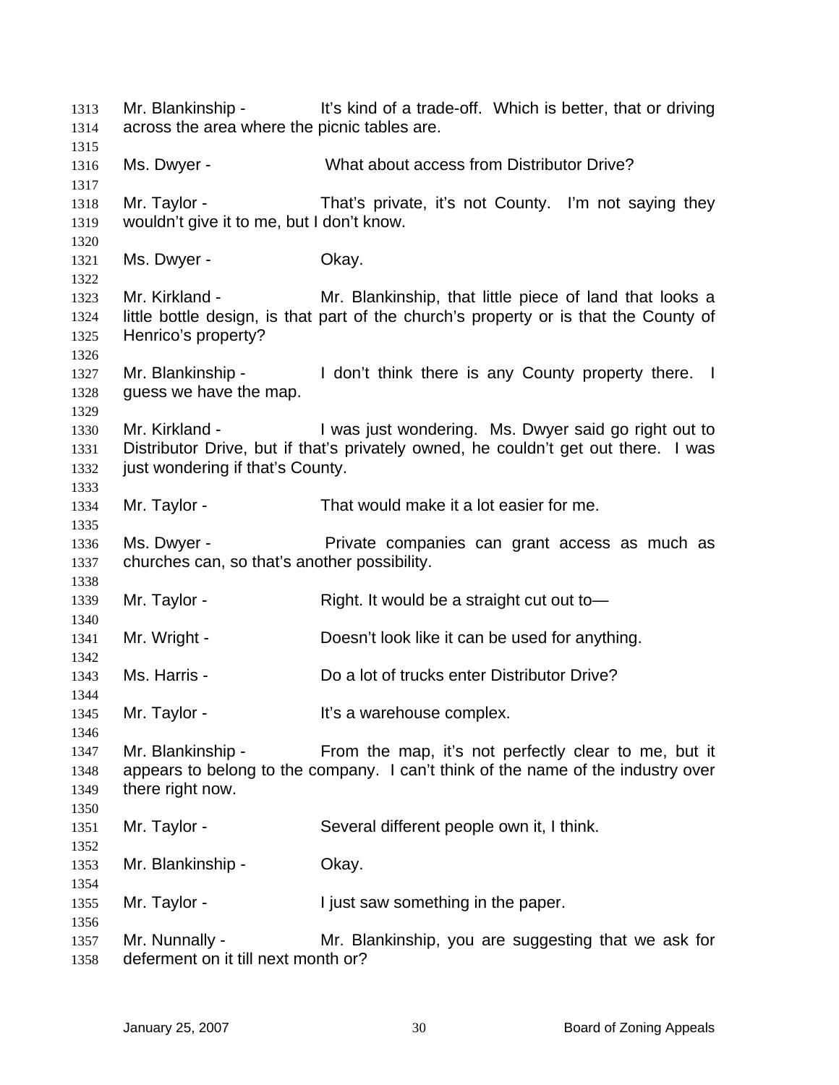Mr. Blankinship - It's kind of a trade-off. Which is better, that or driving across the area where the picnic tables are. Ms. Dwyer - What about access from Distributor Drive? Mr. Taylor - That's private, it's not County. I'm not saying they wouldn't give it to me, but I don't know. Ms. Dwyer - Chay. Mr. Kirkland - Mr. Blankinship, that little piece of land that looks a little bottle design, is that part of the church's property or is that the County of Henrico's property? Mr. Blankinship - I don't think there is any County property there. I guess we have the map. Mr. Kirkland - I was just wondering. Ms. Dwyer said go right out to Distributor Drive, but if that's privately owned, he couldn't get out there. I was just wondering if that's County. Mr. Taylor - That would make it a lot easier for me. Ms. Dwyer - Private companies can grant access as much as churches can, so that's another possibility. Mr. Taylor - Right. It would be a straight cut out to Mr. Wright - Doesn't look like it can be used for anything. Ms. Harris - **Do a lot of trucks enter Distributor Drive?** Mr. Taylor - It's a warehouse complex. Mr. Blankinship - From the map, it's not perfectly clear to me, but it appears to belong to the company. I can't think of the name of the industry over there right now. Mr. Taylor - Several different people own it, I think. Mr. Blankinship - Okay. Mr. Taylor - The Unit saw something in the paper. Mr. Nunnally - Mr. Blankinship, you are suggesting that we ask for deferment on it till next month or?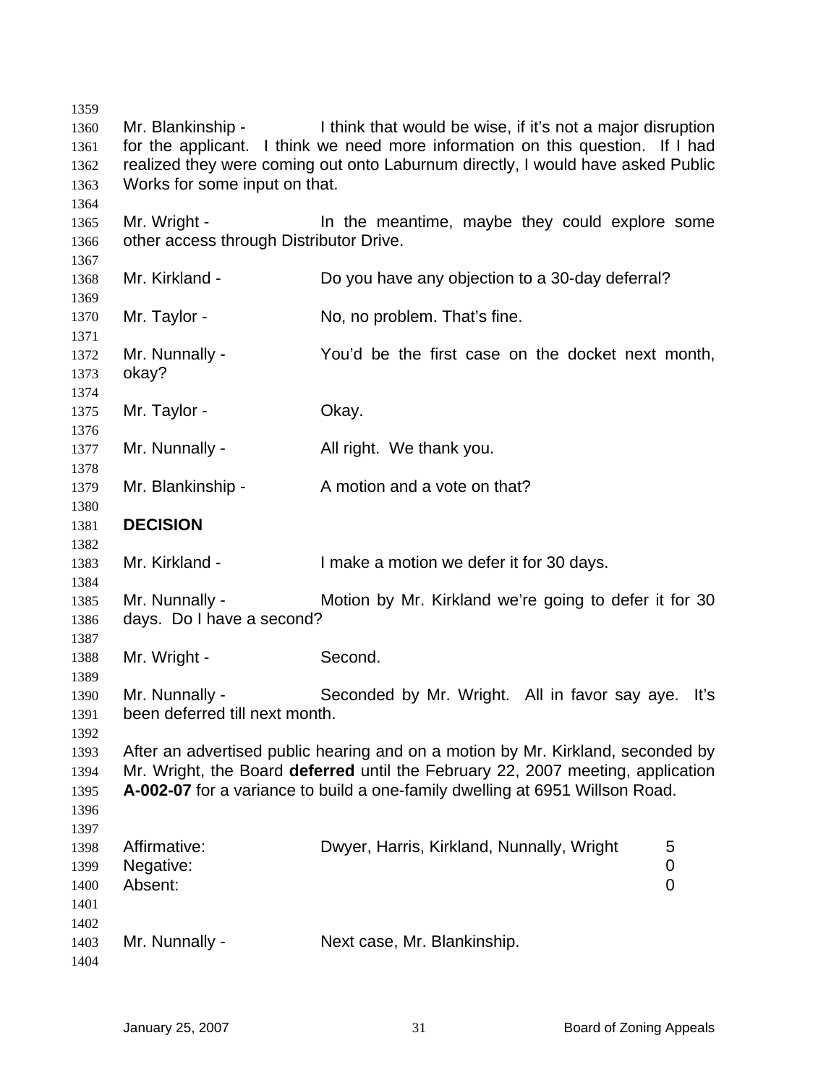| 1359         |                                                                                 |                                                                                 |           |  |
|--------------|---------------------------------------------------------------------------------|---------------------------------------------------------------------------------|-----------|--|
| 1360         | Mr. Blankinship -                                                               | I think that would be wise, if it's not a major disruption                      |           |  |
| 1361         |                                                                                 | for the applicant. I think we need more information on this question. If I had  |           |  |
| 1362         | realized they were coming out onto Laburnum directly, I would have asked Public |                                                                                 |           |  |
| 1363         | Works for some input on that.                                                   |                                                                                 |           |  |
| 1364         |                                                                                 |                                                                                 |           |  |
| 1365         | Mr. Wright -                                                                    | In the meantime, maybe they could explore some                                  |           |  |
| 1366         | other access through Distributor Drive.                                         |                                                                                 |           |  |
| 1367         |                                                                                 |                                                                                 |           |  |
| 1368         | Mr. Kirkland -                                                                  | Do you have any objection to a 30-day deferral?                                 |           |  |
| 1369         |                                                                                 |                                                                                 |           |  |
| 1370<br>1371 | Mr. Taylor -                                                                    | No, no problem. That's fine.                                                    |           |  |
| 1372         | Mr. Nunnally -                                                                  | You'd be the first case on the docket next month,                               |           |  |
| 1373         | okay?                                                                           |                                                                                 |           |  |
| 1374         |                                                                                 |                                                                                 |           |  |
| 1375         | Mr. Taylor -                                                                    | Okay.                                                                           |           |  |
| 1376         |                                                                                 |                                                                                 |           |  |
| 1377         | Mr. Nunnally -                                                                  | All right. We thank you.                                                        |           |  |
| 1378         |                                                                                 |                                                                                 |           |  |
| 1379         | Mr. Blankinship -                                                               | A motion and a vote on that?                                                    |           |  |
| 1380         |                                                                                 |                                                                                 |           |  |
| 1381         | <b>DECISION</b>                                                                 |                                                                                 |           |  |
| 1382         |                                                                                 |                                                                                 |           |  |
| 1383         | Mr. Kirkland -                                                                  | I make a motion we defer it for 30 days.                                        |           |  |
| 1384         |                                                                                 |                                                                                 |           |  |
| 1385         | Mr. Nunnally -                                                                  | Motion by Mr. Kirkland we're going to defer it for 30                           |           |  |
| 1386         | days. Do I have a second?                                                       |                                                                                 |           |  |
| 1387         |                                                                                 |                                                                                 |           |  |
| 1388         | Mr. Wright -                                                                    | Second.                                                                         |           |  |
| 1389         |                                                                                 |                                                                                 |           |  |
| 1390         | Mr. Nunnally -                                                                  | Seconded by Mr. Wright. All in favor say aye.                                   | Iťs       |  |
| 1391         | been deferred till next month.                                                  |                                                                                 |           |  |
| 1392         |                                                                                 |                                                                                 |           |  |
| 1393         |                                                                                 | After an advertised public hearing and on a motion by Mr. Kirkland, seconded by |           |  |
|              |                                                                                 | Mr. Wright, the Board deferred until the February 22, 2007 meeting, application |           |  |
| 1394         |                                                                                 |                                                                                 |           |  |
| 1395         |                                                                                 | A-002-07 for a variance to build a one-family dwelling at 6951 Willson Road.    |           |  |
| 1396         |                                                                                 |                                                                                 |           |  |
| 1397         |                                                                                 |                                                                                 |           |  |
| 1398         | Affirmative:                                                                    | Dwyer, Harris, Kirkland, Nunnally, Wright                                       | 5         |  |
| 1399         | Negative:                                                                       |                                                                                 | $\pmb{0}$ |  |
| 1400         | Absent:                                                                         |                                                                                 | 0         |  |
| 1401         |                                                                                 |                                                                                 |           |  |
| 1402         |                                                                                 |                                                                                 |           |  |
| 1403         | Mr. Nunnally -                                                                  | Next case, Mr. Blankinship.                                                     |           |  |
| 1404         |                                                                                 |                                                                                 |           |  |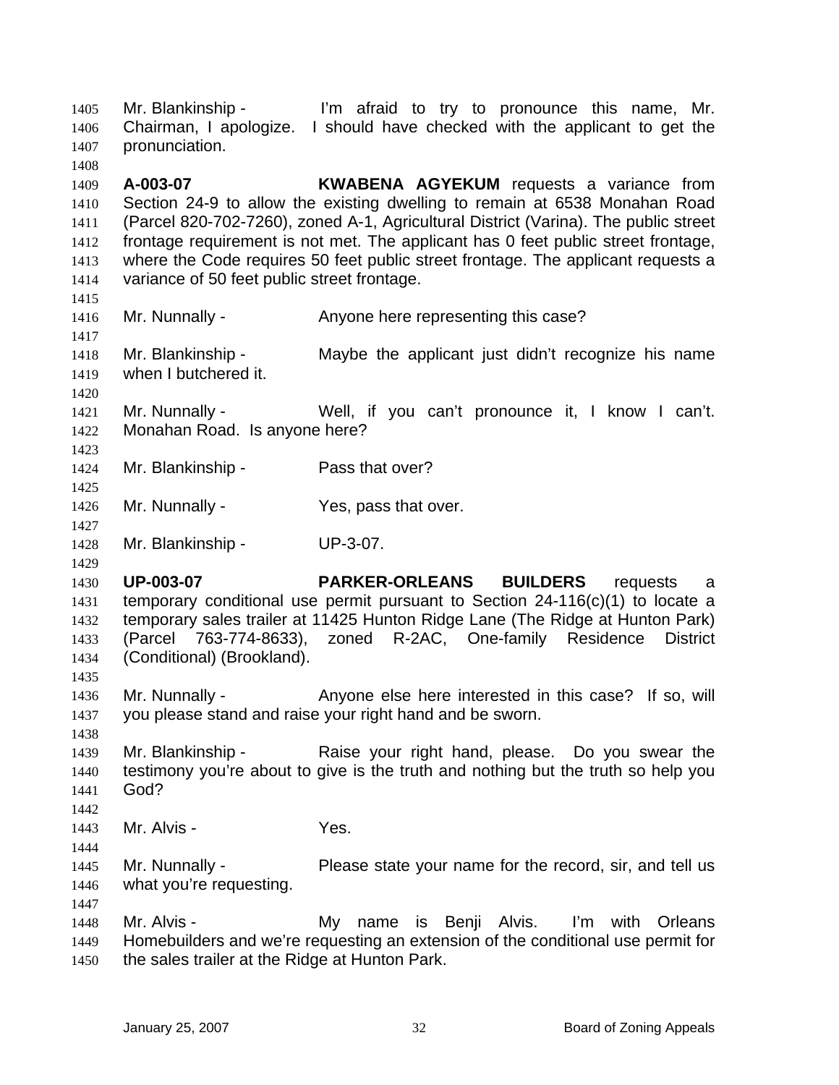Mr. Blankinship - I'm afraid to try to pronounce this name, Mr. Chairman, I apologize. I should have checked with the applicant to get the pronunciation. 1405 1406 1407 1408 1409 1410 1411 1412 1413 1414 1415 1416 1417 1418 1419 1420 1421 1422 1423 1424 1425 1426 1427 1428 1429 1430 1431 1432 1433 1434 1435 1436 1437 1438 1439 1440 1441 1442 1443 1444 1445 1446 1447 1448 1449 1450 **A-003-07 KWABENA AGYEKUM** requests a variance from Section 24-9 to allow the existing dwelling to remain at 6538 Monahan Road (Parcel 820-702-7260), zoned A-1, Agricultural District (Varina). The public street frontage requirement is not met. The applicant has 0 feet public street frontage, where the Code requires 50 feet public street frontage. The applicant requests a variance of 50 feet public street frontage. Mr. Nunnally - Anyone here representing this case? Mr. Blankinship - Maybe the applicant just didn't recognize his name when I butchered it. Mr. Nunnally - Well, if you can't pronounce it, I know I can't. Monahan Road. Is anyone here? Mr. Blankinship - Pass that over? Mr. Nunnally - Yes, pass that over. Mr. Blankinship - UP-3-07. **UP-003-07 PARKER-ORLEANS BUILDERS** requests a temporary conditional use permit pursuant to Section 24-116(c)(1) to locate a temporary sales trailer at 11425 Hunton Ridge Lane (The Ridge at Hunton Park) (Parcel 763-774-8633), zoned R-2AC, One-family Residence District (Conditional) (Brookland). Mr. Nunnally - Anyone else here interested in this case? If so, will you please stand and raise your right hand and be sworn. Mr. Blankinship - Raise your right hand, please. Do you swear the testimony you're about to give is the truth and nothing but the truth so help you God? Mr. Alvis - Yes. Mr. Nunnally - Please state your name for the record, sir, and tell us what you're requesting. Mr. Alvis - My name is Benji Alvis. I'm with Orleans Homebuilders and we're requesting an extension of the conditional use permit for the sales trailer at the Ridge at Hunton Park.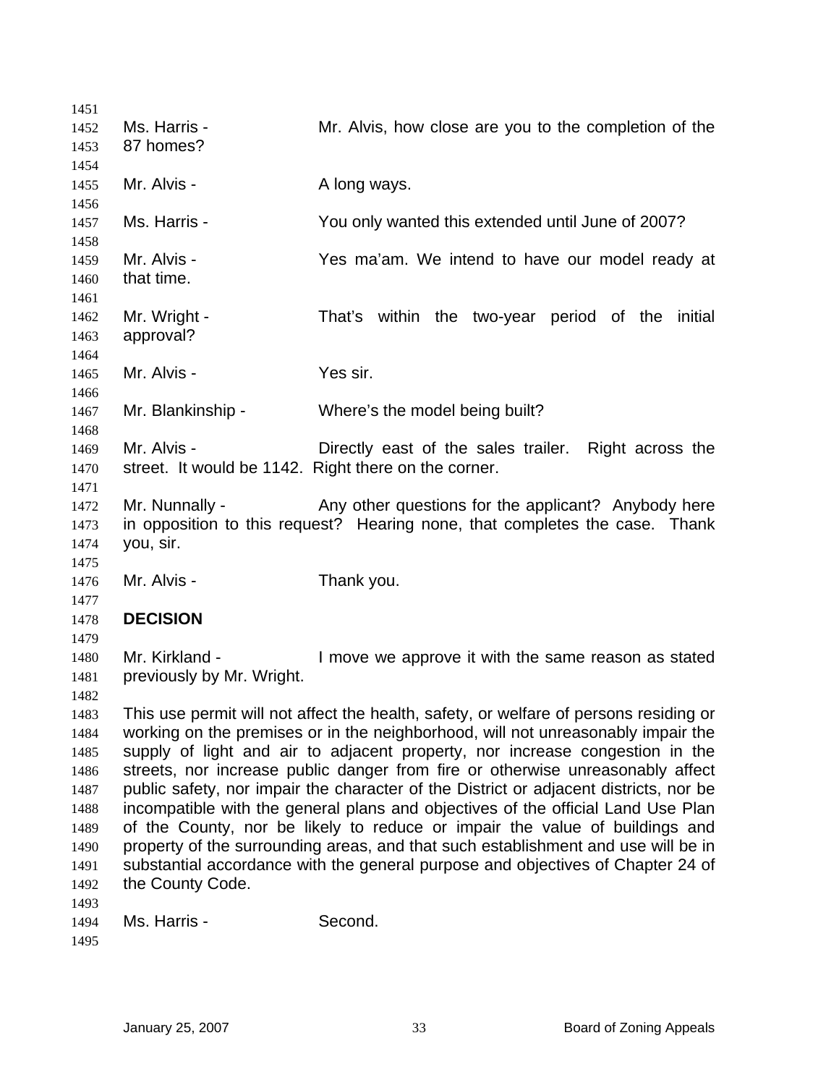| 1451 |                                                      |                                                                                       |
|------|------------------------------------------------------|---------------------------------------------------------------------------------------|
| 1452 | Ms. Harris -                                         | Mr. Alvis, how close are you to the completion of the                                 |
| 1453 | 87 homes?                                            |                                                                                       |
| 1454 |                                                      |                                                                                       |
| 1455 | Mr. Alvis -                                          | A long ways.                                                                          |
| 1456 |                                                      |                                                                                       |
| 1457 | Ms. Harris -                                         | You only wanted this extended until June of 2007?                                     |
| 1458 |                                                      |                                                                                       |
| 1459 | Mr. Alvis -                                          | Yes ma'am. We intend to have our model ready at                                       |
| 1460 | that time.                                           |                                                                                       |
| 1461 |                                                      |                                                                                       |
| 1462 | Mr. Wright -                                         | That's within the two-year period of the initial                                      |
| 1463 | approval?                                            |                                                                                       |
| 1464 |                                                      |                                                                                       |
| 1465 | Mr. Alvis -                                          | Yes sir.                                                                              |
| 1466 |                                                      |                                                                                       |
| 1467 | Mr. Blankinship -                                    | Where's the model being built?                                                        |
| 1468 |                                                      |                                                                                       |
| 1469 | Mr. Alvis -                                          | Directly east of the sales trailer. Right across the                                  |
| 1470 | street. It would be 1142. Right there on the corner. |                                                                                       |
| 1471 |                                                      |                                                                                       |
| 1472 | Mr. Nunnally -                                       | Any other questions for the applicant? Anybody here                                   |
| 1473 |                                                      | in opposition to this request? Hearing none, that completes the case. Thank           |
| 1474 | you, sir.                                            |                                                                                       |
| 1475 |                                                      |                                                                                       |
| 1476 | Mr. Alvis -                                          | Thank you.                                                                            |
| 1477 |                                                      |                                                                                       |
| 1478 | <b>DECISION</b>                                      |                                                                                       |
| 1479 |                                                      |                                                                                       |
| 1480 | Mr. Kirkland -                                       | I move we approve it with the same reason as stated                                   |
| 1481 | previously by Mr. Wright.                            |                                                                                       |
| 1482 |                                                      |                                                                                       |
| 1483 |                                                      | This use permit will not affect the health, safety, or welfare of persons residing or |
| 1484 |                                                      | working on the premises or in the neighborhood, will not unreasonably impair the      |
| 1485 |                                                      | supply of light and air to adjacent property, nor increase congestion in the          |
| 1486 |                                                      | streets, nor increase public danger from fire or otherwise unreasonably affect        |
| 1487 |                                                      | public safety, nor impair the character of the District or adjacent districts, nor be |
| 1488 |                                                      | incompatible with the general plans and objectives of the official Land Use Plan      |
| 1489 |                                                      | of the County, nor be likely to reduce or impair the value of buildings and           |
| 1490 |                                                      | property of the surrounding areas, and that such establishment and use will be in     |
| 1491 |                                                      | substantial accordance with the general purpose and objectives of Chapter 24 of       |
| 1492 | the County Code.                                     |                                                                                       |
| 1493 |                                                      |                                                                                       |
| 1494 | Ms. Harris -                                         | Second.                                                                               |
| 1495 |                                                      |                                                                                       |
|      |                                                      |                                                                                       |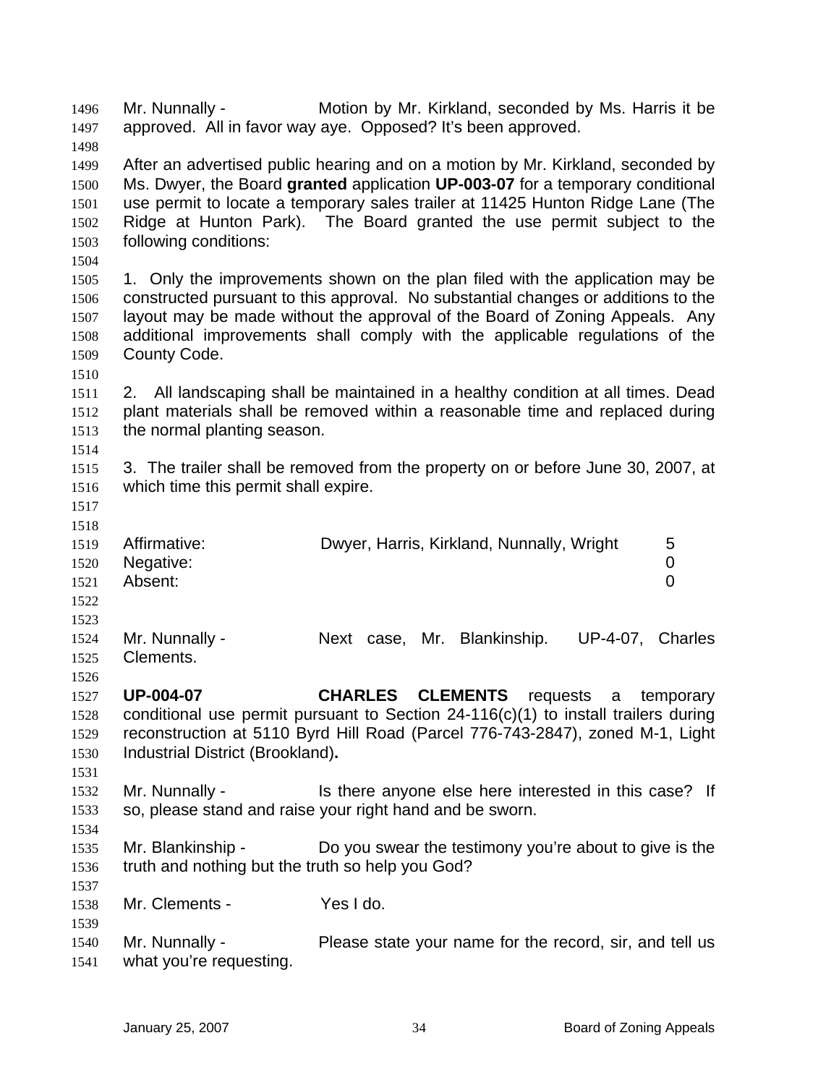Mr. Nunnally - Motion by Mr. Kirkland, seconded by Ms. Harris it be approved. All in favor way aye. Opposed? It's been approved. 1496 1497

1499 1500 1501 1502 1503 After an advertised public hearing and on a motion by Mr. Kirkland, seconded by Ms. Dwyer, the Board **granted** application **UP-003-07** for a temporary conditional use permit to locate a temporary sales trailer at 11425 Hunton Ridge Lane (The Ridge at Hunton Park). The Board granted the use permit subject to the following conditions:

1504

1510

1498

1505 1506 1507 1508 1509 1. Only the improvements shown on the plan filed with the application may be constructed pursuant to this approval. No substantial changes or additions to the layout may be made without the approval of the Board of Zoning Appeals. Any additional improvements shall comply with the applicable regulations of the County Code.

1511 1512 1513 2. All landscaping shall be maintained in a healthy condition at all times. Dead plant materials shall be removed within a reasonable time and replaced during the normal planting season.

1515 1516 3. The trailer shall be removed from the property on or before June 30, 2007, at which time this permit shall expire.

1517 1518

1514

|      | 1519 Affirmative: | Dwyer, Harris, Kirkland, Nunnally, Wright | 5 |
|------|-------------------|-------------------------------------------|---|
|      | 1520 Negative:    |                                           |   |
| 1521 | Absent:           |                                           |   |
| 1522 |                   |                                           |   |

1523

1534

1537

1539

1524 1525 1526 Mr. Nunnally - Next case, Mr. Blankinship. UP-4-07, Charles Clements.

1527 1528 1529 1530 **UP-004-07 CHARLES CLEMENTS** requests a temporary conditional use permit pursuant to Section 24-116(c)(1) to install trailers during reconstruction at 5110 Byrd Hill Road (Parcel 776-743-2847), zoned M-1, Light Industrial District (Brookland)**.**

- 1531 1532 1533 Mr. Nunnally - Is there anyone else here interested in this case? If so, please stand and raise your right hand and be sworn.
- 1535 1536 Mr. Blankinship - Do you swear the testimony you're about to give is the truth and nothing but the truth so help you God?

1538 Mr. Clements - Yes I do.

1540 1541 Mr. Nunnally - Please state your name for the record, sir, and tell us what you're requesting.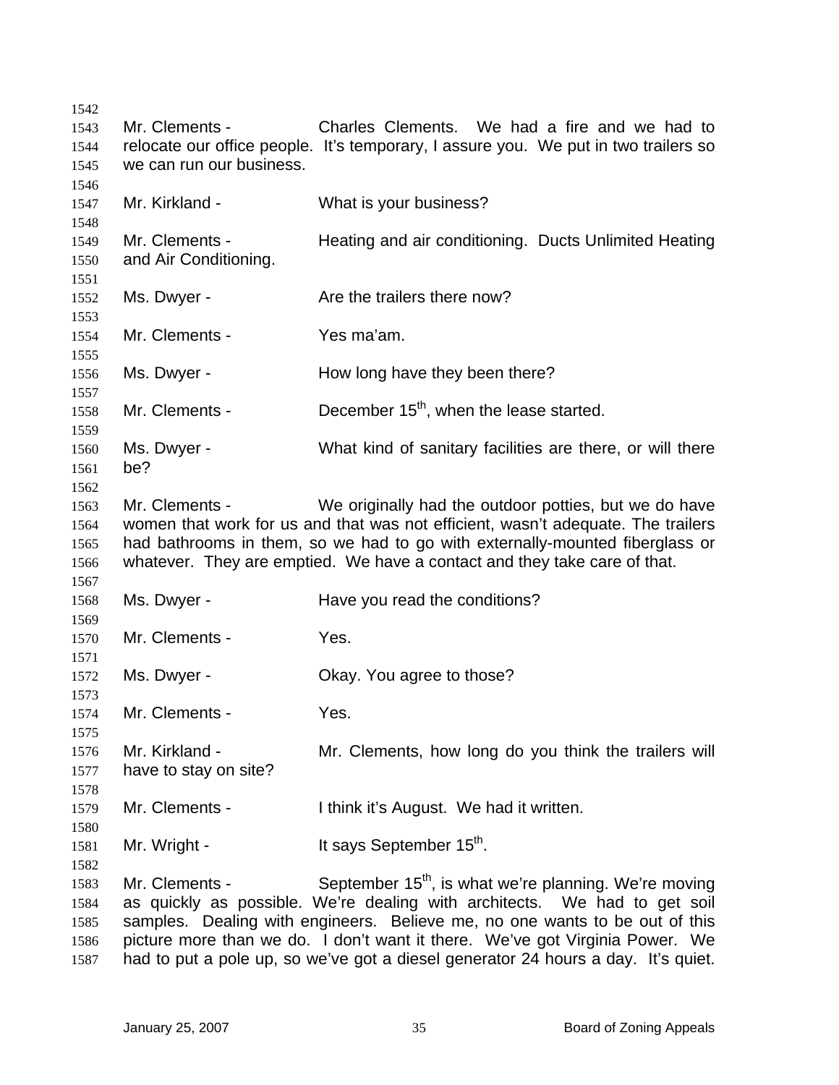Mr. Clements - Charles Clements. We had a fire and we had to relocate our office people. It's temporary, I assure you. We put in two trailers so we can run our business. Mr. Kirkland - What is your business? Mr. Clements - Heating and air conditioning. Ducts Unlimited Heating and Air Conditioning. Ms. Dwyer - The Are the trailers there now? Mr. Clements - Yes ma'am. Ms. Dwyer - How long have they been there? Mr. Clements -  $\qquad \qquad$  December 15<sup>th</sup>, when the lease started. Ms. Dwyer - What kind of sanitary facilities are there, or will there be? Mr. Clements - We originally had the outdoor potties, but we do have women that work for us and that was not efficient, wasn't adequate. The trailers had bathrooms in them, so we had to go with externally-mounted fiberglass or whatever. They are emptied. We have a contact and they take care of that. Ms. Dwyer - **Have you read the conditions?** Mr. Clements - Yes. Ms. Dwyer - Ckay. You agree to those? Mr. Clements - Yes. Mr. Kirkland - The Mr. Clements, how long do you think the trailers will have to stay on site? Mr. Clements - I think it's August. We had it written. Mr. Wright -  $\qquad \qquad$  It says September 15<sup>th</sup>. Mr. Clements - September  $15<sup>th</sup>$ , is what we're planning. We're moving as quickly as possible. We're dealing with architects. We had to get soil samples. Dealing with engineers. Believe me, no one wants to be out of this picture more than we do. I don't want it there. We've got Virginia Power. We had to put a pole up, so we've got a diesel generator 24 hours a day. It's quiet.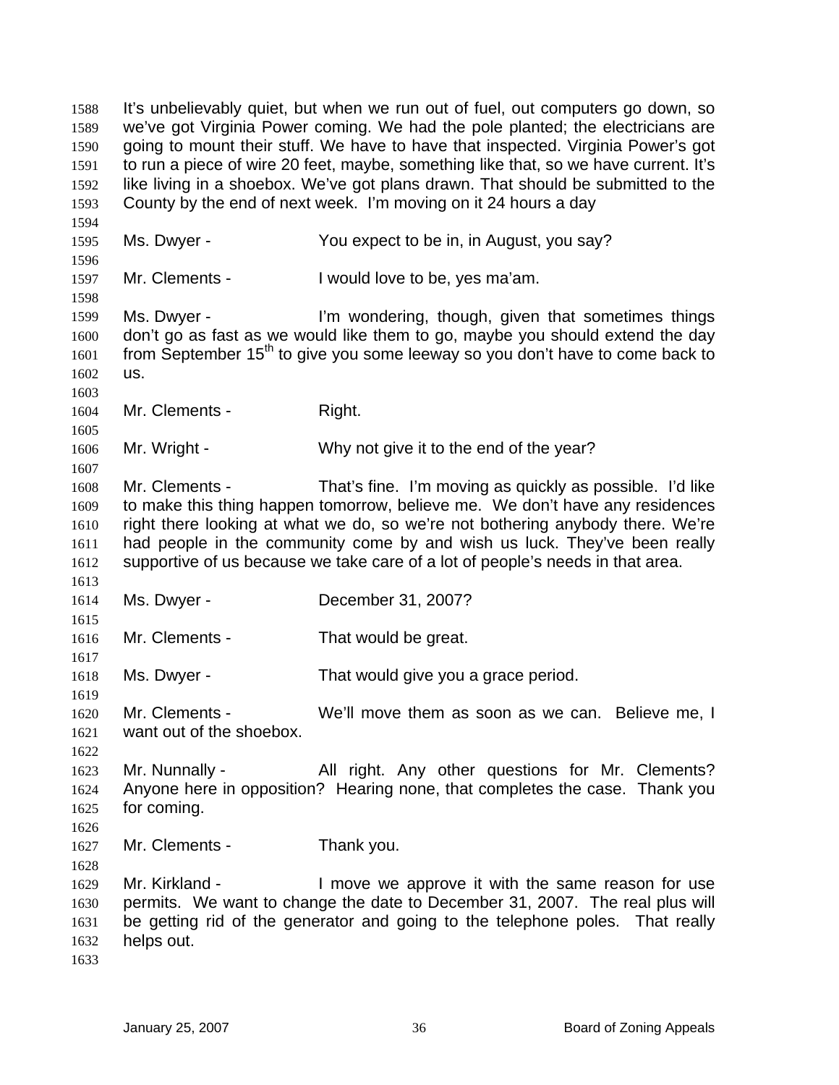It's unbelievably quiet, but when we run out of fuel, out computers go down, so we've got Virginia Power coming. We had the pole planted; the electricians are going to mount their stuff. We have to have that inspected. Virginia Power's got to run a piece of wire 20 feet, maybe, something like that, so we have current. It's like living in a shoebox. We've got plans drawn. That should be submitted to the County by the end of next week. I'm moving on it 24 hours a day 1588 1589 1590 1591 1592 1593 1594 1595 1596 1597 1598 1599 1600 1601 1602 1603 1604 1605 1606 1607 1608 1609 1610 1611 1612 1613 1614 1615 1616 1617 1618 1619 1620 1621 1622 1623 1624 1625 1626 1627 1628 1629 1630 1631 1632 1633 Ms. Dwyer - You expect to be in, in August, you say? Mr. Clements - I would love to be, yes ma'am. Ms. Dwyer - I'm wondering, though, given that sometimes things don't go as fast as we would like them to go, maybe you should extend the day from September 15<sup>th</sup> to give you some leeway so you don't have to come back to us. Mr. Clements - Right. Mr. Wright - Why not give it to the end of the year? Mr. Clements - That's fine. I'm moving as quickly as possible. I'd like to make this thing happen tomorrow, believe me. We don't have any residences right there looking at what we do, so we're not bothering anybody there. We're had people in the community come by and wish us luck. They've been really supportive of us because we take care of a lot of people's needs in that area. Ms. Dwyer - December 31, 2007? Mr. Clements - That would be great. Ms. Dwyer - That would give you a grace period. Mr. Clements - We'll move them as soon as we can. Believe me, I want out of the shoebox. Mr. Nunnally - All right. Any other questions for Mr. Clements? Anyone here in opposition? Hearing none, that completes the case. Thank you for coming. Mr. Clements - Thank you. Mr. Kirkland - The Sumble we approve it with the same reason for use permits. We want to change the date to December 31, 2007. The real plus will be getting rid of the generator and going to the telephone poles. That really helps out.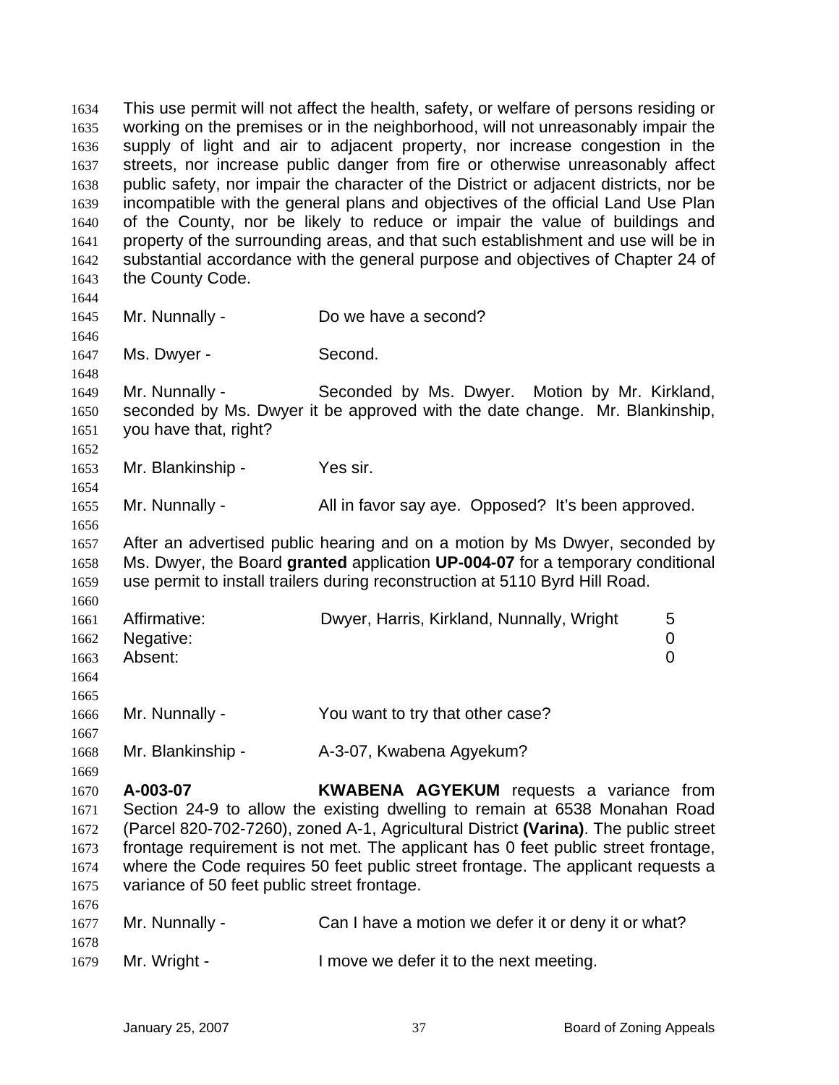This use permit will not affect the health, safety, or welfare of persons residing or working on the premises or in the neighborhood, will not unreasonably impair the supply of light and air to adjacent property, nor increase congestion in the streets, nor increase public danger from fire or otherwise unreasonably affect public safety, nor impair the character of the District or adjacent districts, nor be incompatible with the general plans and objectives of the official Land Use Plan of the County, nor be likely to reduce or impair the value of buildings and property of the surrounding areas, and that such establishment and use will be in substantial accordance with the general purpose and objectives of Chapter 24 of the County Code. 1634 1635 1636 1637 1638 1639 1640 1641 1642 1643 1644 1645 1646 1647 1648 1649 1650 1651 1652 1653 1654 1655 1656 1657 1658 1659 1660 1661 1662 1663 1664 1665 1666 1667 1668 1669 1670 1671 1672 1673 1674 1675 1676 1677 1678 1679 Mr. Nunnally - Do we have a second? Ms. Dwyer - Second. Mr. Nunnally - Seconded by Ms. Dwyer. Motion by Mr. Kirkland, seconded by Ms. Dwyer it be approved with the date change. Mr. Blankinship, you have that, right? Mr. Blankinship - Yes sir. Mr. Nunnally - All in favor say aye. Opposed? It's been approved. After an advertised public hearing and on a motion by Ms Dwyer, seconded by Ms. Dwyer, the Board **granted** application **UP-004-07** for a temporary conditional use permit to install trailers during reconstruction at 5110 Byrd Hill Road. Affirmative: Dwyer, Harris, Kirkland, Nunnally, Wright 5 Negative: 0 Absent: 0 Mr. Nunnally - The You want to try that other case? Mr. Blankinship - A-3-07, Kwabena Agyekum? **A-003-07 KWABENA AGYEKUM** requests a variance from Section 24-9 to allow the existing dwelling to remain at 6538 Monahan Road (Parcel 820-702-7260), zoned A-1, Agricultural District **(Varina)**. The public street frontage requirement is not met. The applicant has 0 feet public street frontage, where the Code requires 50 feet public street frontage. The applicant requests a variance of 50 feet public street frontage. Mr. Nunnally - Can I have a motion we defer it or deny it or what? Mr. Wright - I move we defer it to the next meeting.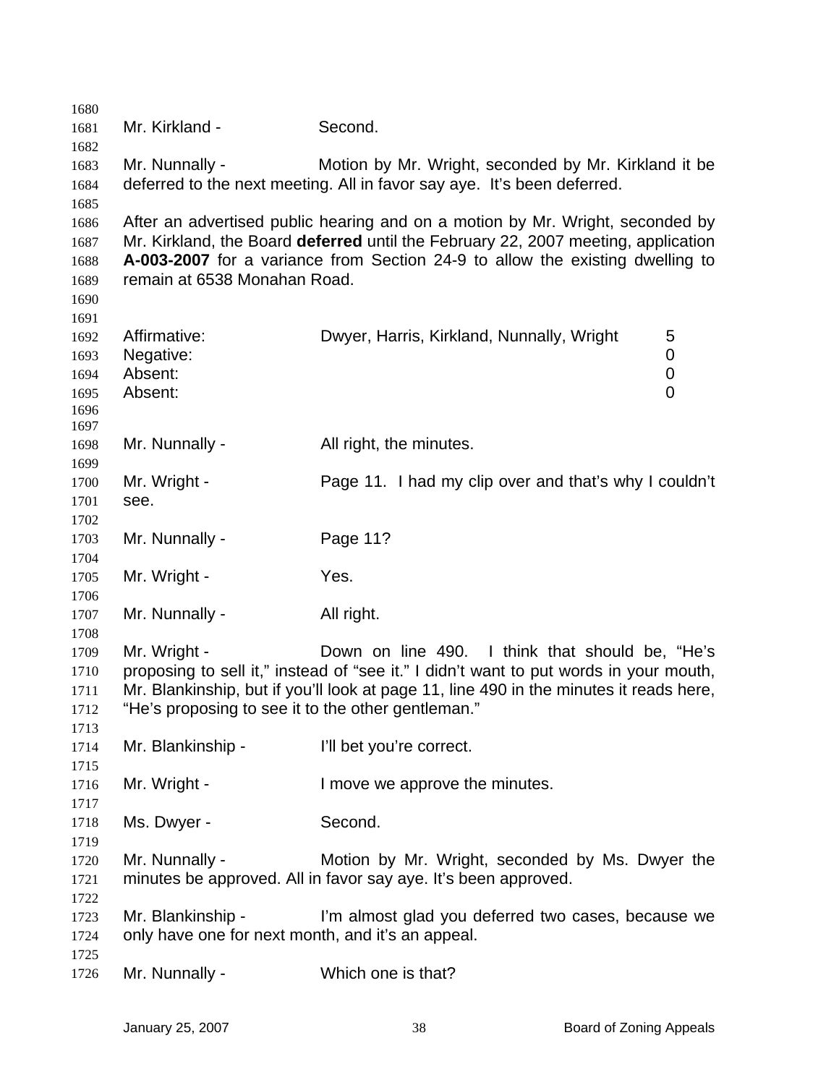| 1680         |                                                    |                                                                                        |  |
|--------------|----------------------------------------------------|----------------------------------------------------------------------------------------|--|
| 1681         | Mr. Kirkland -                                     | Second.                                                                                |  |
| 1682         |                                                    |                                                                                        |  |
| 1683         | Mr. Nunnally -                                     | Motion by Mr. Wright, seconded by Mr. Kirkland it be                                   |  |
| 1684         |                                                    | deferred to the next meeting. All in favor say aye. It's been deferred.                |  |
| 1685         |                                                    |                                                                                        |  |
| 1686         |                                                    | After an advertised public hearing and on a motion by Mr. Wright, seconded by          |  |
| 1687         |                                                    | Mr. Kirkland, the Board deferred until the February 22, 2007 meeting, application      |  |
| 1688         |                                                    | A-003-2007 for a variance from Section 24-9 to allow the existing dwelling to          |  |
| 1689         | remain at 6538 Monahan Road.                       |                                                                                        |  |
| 1690         |                                                    |                                                                                        |  |
| 1691         |                                                    |                                                                                        |  |
| 1692         | Affirmative:                                       | Dwyer, Harris, Kirkland, Nunnally, Wright<br>5                                         |  |
| 1693         | Negative:                                          | 0                                                                                      |  |
| 1694         | Absent:                                            | $\mathbf 0$                                                                            |  |
| 1695         | Absent:                                            | 0                                                                                      |  |
| 1696         |                                                    |                                                                                        |  |
| 1697         |                                                    |                                                                                        |  |
| 1698         | Mr. Nunnally -                                     | All right, the minutes.                                                                |  |
| 1699<br>1700 | Mr. Wright -                                       | Page 11. I had my clip over and that's why I couldn't                                  |  |
| 1701         | see.                                               |                                                                                        |  |
| 1702         |                                                    |                                                                                        |  |
| 1703         | Mr. Nunnally -                                     | Page 11?                                                                               |  |
| 1704         |                                                    |                                                                                        |  |
| 1705         | Mr. Wright -                                       | Yes.                                                                                   |  |
| 1706         |                                                    |                                                                                        |  |
| 1707         | Mr. Nunnally -                                     | All right.                                                                             |  |
| 1708         |                                                    |                                                                                        |  |
| 1709         | Mr. Wright -                                       | Down on line 490. I think that should be, "He's                                        |  |
| 1710         |                                                    | proposing to sell it," instead of "see it." I didn't want to put words in your mouth,  |  |
| 1711         |                                                    | Mr. Blankinship, but if you'll look at page 11, line 490 in the minutes it reads here, |  |
| 1712         | "He's proposing to see it to the other gentleman." |                                                                                        |  |
| 1713         |                                                    |                                                                                        |  |
| 1714         | Mr. Blankinship -                                  | I'll bet you're correct.                                                               |  |
| 1715         |                                                    |                                                                                        |  |
| 1716         | Mr. Wright -                                       | I move we approve the minutes.                                                         |  |
| 1717         |                                                    |                                                                                        |  |
| 1718         | Ms. Dwyer -                                        | Second.                                                                                |  |
| 1719         |                                                    |                                                                                        |  |
| 1720         | Mr. Nunnally -                                     | Motion by Mr. Wright, seconded by Ms. Dwyer the                                        |  |
| 1721         |                                                    | minutes be approved. All in favor say aye. It's been approved.                         |  |
| 1722         |                                                    |                                                                                        |  |
| 1723         | Mr. Blankinship -                                  | I'm almost glad you deferred two cases, because we                                     |  |
| 1724         | only have one for next month, and it's an appeal.  |                                                                                        |  |
| 1725         |                                                    |                                                                                        |  |
| 1726         | Mr. Nunnally -                                     | Which one is that?                                                                     |  |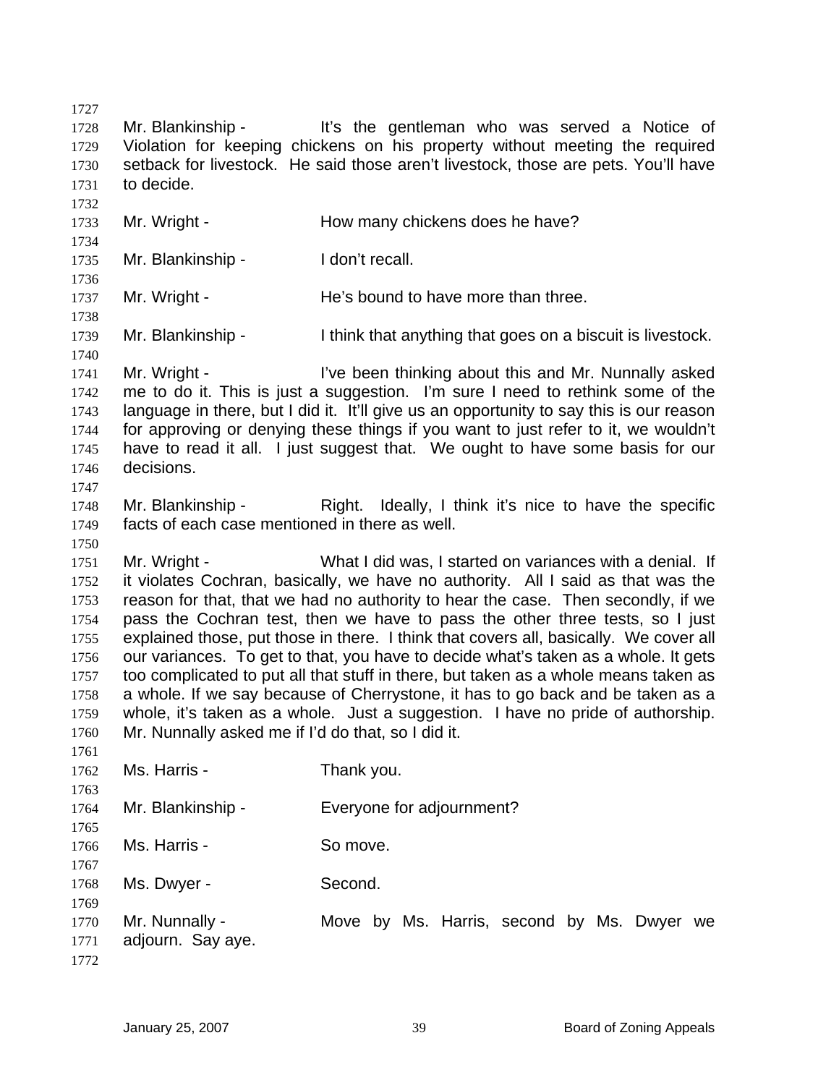1727 1728 1729 1730 1731 1732 1733 1734 1735 1736 1737 1738 1739 1740 1741 1742 1743 1744 1745 1746 1747 1748 1749 1750 1751 1752 1753 1754 1755 1756 1757 1758 1759 1760 1761 1762 1763 1764 1765 1766 1767 1768 1769 1770 1771 1772 Mr. Blankinship - It's the gentleman who was served a Notice of Violation for keeping chickens on his property without meeting the required setback for livestock. He said those aren't livestock, those are pets. You'll have to decide. Mr. Wright - **How many chickens does he have?** Mr. Blankinship - I don't recall. Mr. Wright - The's bound to have more than three. Mr. Blankinship - I think that anything that goes on a biscuit is livestock. Mr. Wright - I've been thinking about this and Mr. Nunnally asked me to do it. This is just a suggestion. I'm sure I need to rethink some of the language in there, but I did it. It'll give us an opportunity to say this is our reason for approving or denying these things if you want to just refer to it, we wouldn't have to read it all. I just suggest that. We ought to have some basis for our decisions. Mr. Blankinship - Right. Ideally, I think it's nice to have the specific facts of each case mentioned in there as well. Mr. Wright - What I did was, I started on variances with a denial. If it violates Cochran, basically, we have no authority. All I said as that was the reason for that, that we had no authority to hear the case. Then secondly, if we pass the Cochran test, then we have to pass the other three tests, so I just explained those, put those in there. I think that covers all, basically. We cover all our variances. To get to that, you have to decide what's taken as a whole. It gets too complicated to put all that stuff in there, but taken as a whole means taken as a whole. If we say because of Cherrystone, it has to go back and be taken as a whole, it's taken as a whole. Just a suggestion. I have no pride of authorship. Mr. Nunnally asked me if I'd do that, so I did it. Ms. Harris - Thank you. Mr. Blankinship - Everyone for adjournment? Ms. Harris - So move. Ms. Dwyer - Second. Mr. Nunnally - The Move by Ms. Harris, second by Ms. Dwyer we adjourn. Say aye.